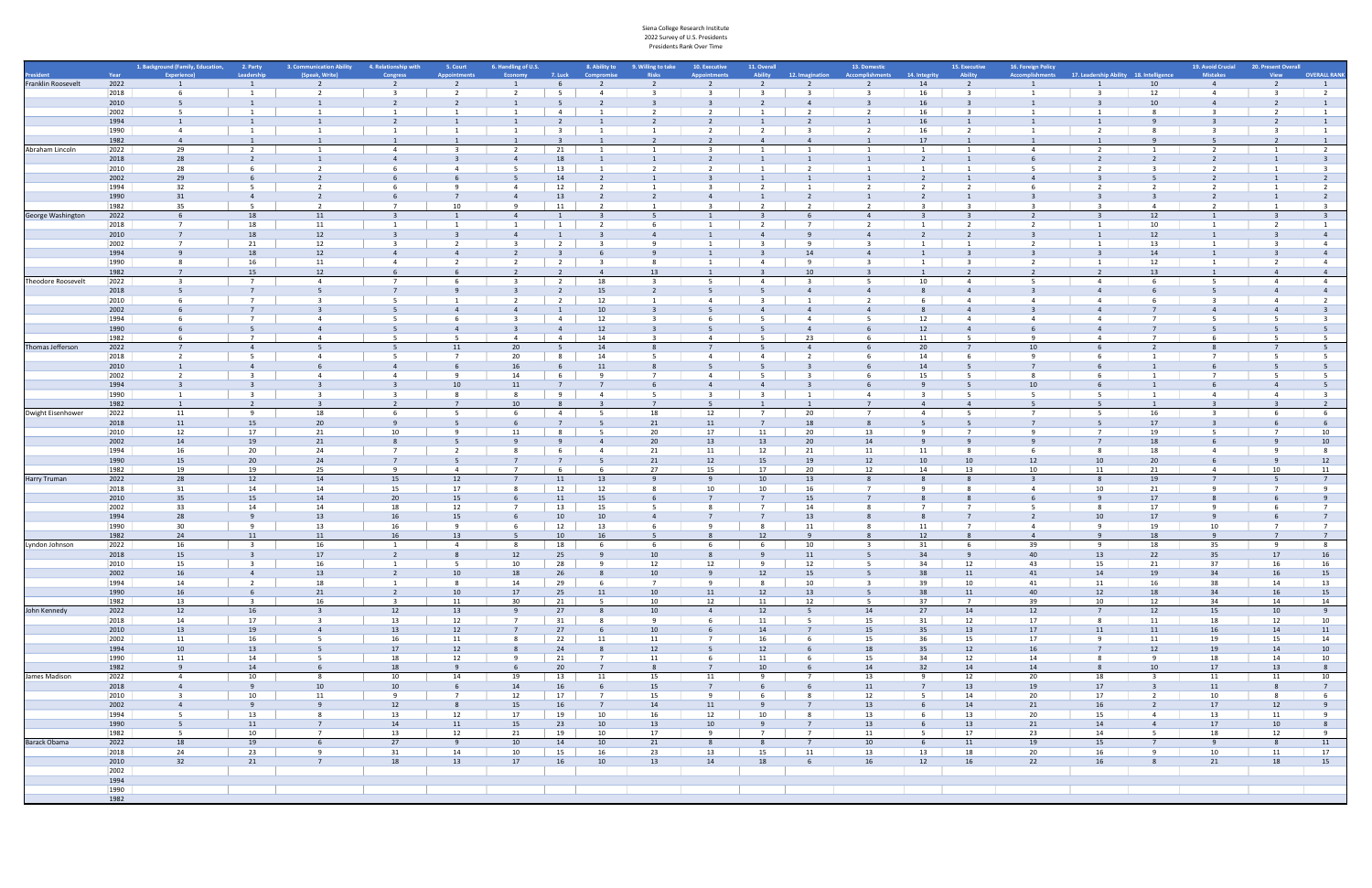|                    |              | 1. Background (Family, Education, | 2. Party                                  | 3. Communication Ability | 4. Relationship with             | 5. Court                 | 6. Handling of U.S. |                         | 8. Ability to           | 9. Willing to take   | 10. Executive  | 11. Overall    |                 | 13. Domestic            |                                        | 15. Executive  | 16. Foreign Policy                                      |                 |                         | 19. Avoid Crucial | 20. Present Overall |                                  |
|--------------------|--------------|-----------------------------------|-------------------------------------------|--------------------------|----------------------------------|--------------------------|---------------------|-------------------------|-------------------------|----------------------|----------------|----------------|-----------------|-------------------------|----------------------------------------|----------------|---------------------------------------------------------|-----------------|-------------------------|-------------------|---------------------|----------------------------------|
|                    | Year         | <b>Experience</b>                 | Leadership                                | (Speak, Write)           | <b>Congress</b>                  | <b>Annointment</b>       |                     | 7. Luck                 | Compromis               | <b>Risks</b>         |                | Ability        | 12. Imagination | Accomplishments         | <b>14. Integrity</b>                   | Ability        | Accomplishments 17. Leadership Ability 18. Intelligence |                 |                         | <b>Mistakes</b>   | <b>View</b>         | <b>OVERALL RANK</b>              |
| Franklin Roosevelt | 2022         |                                   |                                           | -2                       |                                  | $\overline{2}$           |                     |                         |                         |                      |                |                |                 | $\overline{z}$          | 14                                     | 2              |                                                         |                 | 10                      | $\overline{4}$    |                     |                                  |
|                    | 2018         |                                   |                                           | $\overline{\phantom{a}}$ |                                  | $\overline{\phantom{a}}$ |                     |                         |                         |                      |                |                |                 |                         | 16                                     |                |                                                         |                 | 12                      | $\overline{4}$    |                     | $\overline{2}$                   |
|                    | 2010         |                                   |                                           |                          |                                  |                          |                     |                         |                         |                      |                |                |                 |                         |                                        |                |                                                         |                 |                         |                   |                     |                                  |
|                    | 2002         | -5                                |                                           |                          |                                  |                          |                     | 4                       |                         |                      |                |                |                 |                         | 16                                     |                |                                                         |                 |                         |                   |                     | $\overline{1}$                   |
|                    | 1994         | 1                                 |                                           |                          |                                  |                          |                     |                         |                         |                      |                |                |                 |                         | 16                                     |                |                                                         |                 |                         |                   |                     | 1                                |
|                    | 1990         | $\overline{4}$                    |                                           |                          |                                  |                          |                     | $\overline{\mathbf{3}}$ |                         |                      |                |                |                 |                         | 16                                     |                |                                                         |                 |                         |                   |                     | $\mathbf{1}$                     |
|                    | 1982         | $\overline{4}$                    |                                           |                          |                                  |                          |                     |                         |                         |                      |                |                |                 |                         | 17                                     |                |                                                         |                 |                         |                   |                     |                                  |
| Abraham Lincoln    | 2022         | 29                                |                                           |                          |                                  |                          |                     | 21                      |                         |                      |                |                |                 |                         |                                        |                |                                                         |                 |                         |                   |                     | 2                                |
|                    | 2018         | 28                                |                                           |                          |                                  |                          |                     | 18                      |                         |                      |                |                |                 |                         |                                        |                |                                                         |                 |                         |                   |                     |                                  |
|                    | 2010         | 28                                |                                           |                          |                                  | 4                        |                     | 13                      |                         |                      |                |                |                 |                         |                                        |                |                                                         |                 |                         |                   |                     | $_{\rm 3}$                       |
|                    | 2002         | 29                                |                                           |                          |                                  |                          |                     | 14                      |                         |                      |                |                |                 |                         |                                        |                |                                                         |                 |                         |                   |                     | 2                                |
|                    | 1994         | 32                                |                                           |                          |                                  |                          | 4                   | 12                      |                         |                      |                |                |                 |                         |                                        |                |                                                         |                 |                         |                   |                     | $\overline{2}$                   |
|                    | 1990         | 31                                | $\overline{4}$                            |                          |                                  |                          |                     | 13                      |                         |                      |                |                |                 |                         |                                        |                |                                                         |                 |                         |                   |                     | $\overline{2}$                   |
|                    | 1982         | 35                                |                                           | $\overline{\phantom{a}}$ | $\overline{7}$                   | 10 <sup>1</sup>          |                     | 11                      |                         |                      |                |                |                 |                         |                                        |                |                                                         |                 |                         |                   |                     |                                  |
| George Washington  | 2022         | 6                                 | 18                                        | 11                       | $\overline{3}$                   | 1                        | $\overline{4}$      |                         | $\overline{\mathbf{3}}$ | - 5                  |                | -3             |                 | $\overline{4}$          |                                        |                | $\overline{2}$                                          |                 | 12                      | 1                 |                     |                                  |
|                    | 2018         | $\overline{7}$                    | 18                                        | 11                       |                                  |                          |                     | 1                       |                         |                      |                |                |                 |                         | $\overline{1}$                         |                |                                                         |                 | 10                      |                   |                     | 1                                |
|                    | 2010         |                                   | 18                                        | 12                       |                                  |                          |                     |                         |                         |                      |                |                |                 |                         |                                        |                |                                                         |                 | 12                      |                   |                     | $\overline{4}$                   |
|                    | 2002         | $\overline{7}$                    | 21                                        | 12                       |                                  |                          |                     | $\overline{2}$          |                         |                      |                |                |                 |                         |                                        |                |                                                         |                 | 13                      |                   |                     | $\overline{4}$<br>$\overline{4}$ |
|                    | 1994         |                                   | 18                                        | 12                       | $\overline{a}$                   |                          |                     |                         |                         |                      |                |                | 14              |                         |                                        |                |                                                         |                 | 14                      |                   |                     |                                  |
|                    | 1990<br>1982 | 8<br>$\overline{7}$               | 16<br>15                                  | 11<br>12                 |                                  |                          |                     | 2                       |                         | 13                   |                |                | 10              |                         |                                        |                |                                                         |                 | 12<br>13                |                   |                     | $\overline{4}$<br>$\overline{4}$ |
| Theodore Roosevelt | 2022         | -3                                |                                           | $\overline{a}$           |                                  |                          |                     | $\overline{2}$          | 18                      |                      |                | - 4            |                 |                         | 10                                     | 4              |                                                         |                 |                         |                   | $\overline{a}$      | $\overline{4}$                   |
|                    | 2018         |                                   |                                           | -5                       |                                  |                          |                     |                         | 15                      |                      |                |                |                 |                         |                                        |                |                                                         |                 |                         |                   |                     | $\overline{4}$                   |
|                    | 2010         |                                   |                                           |                          |                                  |                          |                     | $\overline{2}$          | 12                      |                      |                |                |                 |                         |                                        | $\Delta$       |                                                         |                 |                         |                   |                     | $\overline{2}$                   |
|                    | 2002         |                                   |                                           |                          |                                  | $\Delta$                 |                     |                         | 10                      |                      |                |                |                 |                         |                                        |                |                                                         |                 |                         |                   |                     |                                  |
|                    | 1994         |                                   |                                           |                          |                                  |                          |                     | $\overline{4}$          | 12                      |                      |                |                |                 |                         | 12                                     |                |                                                         |                 |                         |                   |                     |                                  |
|                    | 1990         |                                   |                                           |                          |                                  |                          |                     | $\mathbf{A}$            | 12                      |                      |                |                |                 |                         | 12                                     |                |                                                         |                 |                         |                   |                     |                                  |
|                    | 1982         | -6                                |                                           |                          |                                  |                          | $\overline{a}$      | $\overline{4}$          | 14                      |                      |                |                | 23              |                         | 11                                     |                |                                                         |                 |                         |                   |                     |                                  |
| Thomas Jefferson   | 2022         | $\overline{7}$                    |                                           |                          |                                  | 11                       | 20                  |                         | 14                      |                      |                |                | $\overline{a}$  |                         | 20                                     |                | 10                                                      |                 |                         |                   |                     |                                  |
|                    | 2018         | $\overline{2}$                    |                                           | 4                        |                                  | $\overline{7}$           | 20                  | - 8                     | 14                      |                      |                |                |                 |                         | 14                                     |                |                                                         |                 |                         |                   |                     | - 5                              |
|                    | 2010         | $\overline{1}$                    |                                           |                          |                                  |                          | 16                  |                         | 11                      |                      |                |                |                 |                         | 14                                     |                |                                                         |                 |                         |                   |                     |                                  |
|                    | 2002         | $\overline{2}$                    |                                           |                          |                                  | q                        | 14                  |                         |                         |                      |                |                |                 |                         | 15                                     |                |                                                         |                 |                         |                   |                     | - 5                              |
|                    | 1994         | $\overline{3}$                    |                                           |                          |                                  | 10                       | 11                  |                         |                         |                      |                |                |                 |                         |                                        |                | 10                                                      |                 |                         |                   |                     | $-5$                             |
|                    | 1990         | $\overline{1}$                    |                                           |                          |                                  | 8                        |                     | $\mathbf{q}$            |                         | -5                   |                |                |                 |                         |                                        | -5             | -5                                                      |                 |                         |                   |                     | $\overline{3}$                   |
|                    | 1982         | 1                                 | $\overline{2}$                            | $\overline{3}$           | $\overline{2}$                   | $\overline{7}$           | 10 <sup>1</sup>     |                         |                         |                      |                |                |                 |                         |                                        |                |                                                         |                 |                         |                   |                     |                                  |
| Dwight Eisenhower  | 2022         | 11                                | - 9                                       | 18                       |                                  |                          |                     | -4                      |                         | 18                   | 12             | 7              | 20              |                         |                                        |                |                                                         |                 | 16                      |                   |                     | - 6                              |
|                    | 2018         | 11                                | 15                                        | 20                       |                                  |                          |                     |                         |                         | 21                   | 11             |                | 18              |                         |                                        |                |                                                         |                 | 17                      |                   |                     |                                  |
|                    | 2010         | 12                                | 17                                        | 21                       | 10                               |                          |                     |                         |                         | 20                   | 17             | 11             | 20              | 13                      |                                        |                |                                                         |                 | 19                      |                   |                     | 10                               |
|                    | 2002         | 14                                | 19                                        | 21                       |                                  |                          |                     |                         |                         | 20                   | 13             | 13             | 20 <sub>2</sub> | 14                      |                                        |                |                                                         |                 | 18                      |                   |                     | 10                               |
|                    | 1994         | 16                                | 20                                        | 24                       |                                  |                          |                     |                         |                         | 21                   | 11             | 12             | 21              | 11                      | 11                                     |                |                                                         |                 | 18                      |                   |                     | - 8                              |
|                    | 1990         | 15                                | 20                                        | 24                       |                                  |                          |                     |                         |                         | 21                   | 12             | 15             | 19              | 12                      | 10                                     | 10             | 12                                                      | 10              | 20                      |                   |                     | 12                               |
|                    | 1982         | 19                                | 19                                        | 25                       | q                                | $\overline{a}$           |                     |                         |                         | 27                   | 15             | 17             | 20              | 12                      | 14                                     | 13             | 10                                                      | 11              | 21                      |                   | 10                  | 11                               |
| Harry Truman       | 2022         | 28                                | 12                                        | 14                       | 15                               | 12                       |                     | 11                      | 13                      |                      |                | 10             | 13              |                         |                                        |                |                                                         |                 | 19                      |                   |                     |                                  |
|                    | 2018         | 31                                | 14                                        | 14                       | 15                               | 17                       |                     | 12                      | 12                      |                      | 10             | 10             | 16              | $\overline{7}$          |                                        |                |                                                         | 10              | 21                      |                   |                     | $\overline{9}$                   |
|                    | 2010         | 35                                | 15                                        | 14                       | 20 <sub>2</sub>                  | 15                       |                     | 11                      | 15                      |                      |                | $\overline{7}$ | 15              |                         |                                        |                |                                                         |                 | 17                      |                   |                     | $\mathsf{q}$                     |
|                    | 2002         | 33                                | 14                                        | 14                       | 18                               | 12                       |                     | 13                      | 15                      |                      |                |                | 14              |                         |                                        |                |                                                         |                 | 17                      |                   |                     | $\overline{7}$                   |
|                    | 1994         | 28                                |                                           | 13                       | 16                               | 15                       |                     | 10                      | 10                      |                      |                |                | 13              |                         |                                        |                |                                                         |                 | 17                      |                   |                     | $\overline{7}$                   |
|                    | 1990         | 30                                | -9                                        | 13                       | 16                               | -9                       |                     | 12                      | 13                      |                      |                | -8             | 11              | -8                      | 11                                     |                |                                                         |                 | 19                      | 10                |                     | 7                                |
|                    | 1982         | 24                                | 11                                        | 11                       | 16                               | 13                       |                     | 10                      | 16                      |                      |                | 12             |                 |                         |                                        |                |                                                         |                 | 18                      |                   |                     | $\overline{7}$                   |
| Lyndon Johnson     | 2022         | 16                                | $\overline{\mathbf{3}}$                   | 16                       | -1                               | $\overline{4}$           |                     | 18                      | -6                      | - 6                  |                | - 6            | 10              | - 3                     | 31                                     | 6              | 39                                                      | - 9             | 18                      | 35                | - 9                 | 8                                |
|                    | 2018         | 15                                |                                           | 17                       | $\overline{2}$                   | $\mathbf{R}$             | 12                  | 25                      |                         | 10                   |                |                | 11              |                         | 34                                     |                | 40                                                      | 13              | 22                      | 35                | 17                  | 16                               |
|                    | 2010         | 15                                | $\overline{\mathbf{3}}$<br>$\overline{4}$ | 16                       | - 1                              | - 5                      | 10                  | 28                      | 9                       | 12                   | 12             | -9             | 12              |                         | 34                                     | 12             | 43                                                      | 15              | 21                      | 37                | 16                  | 16                               |
|                    | 2002<br>1994 | 16<br>14                          | $\overline{2}$                            | 13<br>18                 | $\overline{2}$<br>$\overline{1}$ | 10<br>8                  | 18<br>14            | 26                      | 8                       | 10<br>$\overline{7}$ | $\mathbf{q}$   | 12<br>8        | 15<br>10        | $\overline{\mathbf{3}}$ | 38                                     | 11<br>10       | 41<br>41                                                | 14<br>11        | 19<br>16                | 34<br>38          | 16<br>14            | 15                               |
|                    | 1990         | 16                                | 6                                         | 21                       | $\overline{2}$                   | 10                       | 17                  | 29<br>25                | 6<br>11                 | 10                   | 11             | 12             | 13              | - 5                     | 39<br>38                               | 11             | 40                                                      | 12              | 18                      | 34                | 16                  | 13<br>15                         |
|                    | 1982         | 13                                | $\overline{\mathbf{3}}$                   | 16                       | $\overline{3}$                   | 11                       | 30                  | 21                      | 5                       | 10                   | 12             | 11             | 12              | -5                      | 37                                     | $\overline{7}$ | 39                                                      | 10              | 12                      | 34                | 14                  | 14                               |
| John Kennedy       | 2022         | 12                                | 16                                        |                          | 12                               | 13                       |                     | 27                      | 8                       | 10                   | $\overline{4}$ | 12             | 5               | 14                      | 27                                     | 14             | 12                                                      | $7\overline{ }$ | 12                      | 15                | 10                  | 9                                |
|                    | 2018         | 14                                | 17                                        | $\overline{\mathbf{3}}$  | 13                               | 12                       | $\overline{7}$      | 31                      | 8                       | 9                    | 6              | 11             | $5^{\circ}$     | 15                      | 31                                     | 12             | 17                                                      | 8               | 11                      | 18                | 12                  | 10                               |
|                    | 2010         | 13                                | 19                                        | $\overline{4}$           | 13                               | 12                       |                     | 27                      | 6                       | 10                   |                | 14             | $\overline{7}$  | 15                      | 35                                     | 13             | 17                                                      | 11              | 11                      | 16                | 14                  | 11                               |
|                    | 2002         | 11                                | 16                                        | - 5                      | 16                               | 11                       |                     | 22                      | 11                      | 11                   | 7              | 16             | 6               | 15                      | 36                                     | 15             | 17                                                      | -9              | 11                      | 19                | 15                  | 14                               |
|                    | 1994         | 10                                | 13                                        | - 5                      | 17                               | 12                       |                     | 24                      | 8                       | 12                   |                | 12             |                 | 18                      | 35                                     | 12             | 16                                                      |                 | 12                      | 19                | 14                  | 10                               |
|                    | 1990         | 11                                | 14                                        | - 5                      | 18                               | 12                       | <b>q</b>            | 21                      | $\overline{7}$          | 11                   |                | 11             | 6               | 15                      | 34                                     | 12             | 14                                                      |                 | $\mathsf{q}$            | 18                | 14                  | 10                               |
|                    | 1982         | 9                                 | 14                                        | -6                       | 18                               | 9                        |                     | 20                      | $\overline{7}$          | $\overline{8}$       | $\overline{7}$ | 10             |                 | 14                      | 32                                     | 14             | 14                                                      |                 | 10                      | 17                | 13                  | 8                                |
| James Madison      | 2022         | $\overline{4}$                    | 10                                        | 8                        | 10                               | 14                       | 19                  | 13                      | 11                      | 15                   | 11             | 9              | $\overline{7}$  | 13                      | 9                                      | 12             | 20                                                      | 18              | $\overline{\mathbf{3}}$ | 11                | 11                  | 10                               |
|                    | 2018         | $\overline{4}$                    | 9                                         | 10                       | 10 <sup>10</sup>                 | 6                        | 14                  | 16                      | 6                       | 15                   | $7^{\circ}$    |                |                 | 11                      | $7\overline{ }$                        | 13             | 19                                                      | 17              |                         | 11                | 8                   | $7\overline{ }$                  |
|                    | 2010         | $\overline{\mathbf{3}}$           | 10                                        | 11                       | -9                               | $\overline{7}$           | 12                  | 17                      | $\overline{7}$          | 15                   |                | -6             | 8               | 12                      | $5^{\circ}$                            | 14             | 20                                                      | 17              |                         | 10                | - 8                 | 6                                |
|                    | 2002         | $\overline{4}$                    | 9                                         |                          | 12                               | 8                        | 15                  | 16                      | $\overline{7}$          | 14                   | 11             |                | $\overline{7}$  | 13                      |                                        | 14             | 21                                                      | 16              |                         | 17                | 12                  | 9                                |
|                    | 1994         | 5 <sup>5</sup>                    | 13                                        | - 8                      | 13                               | 12                       | 17                  | 19                      | 10                      | 16                   | 12             | 10             | 8               | 13                      | $\begin{array}{ccc} \end{array}$ 6     | 13             | 20                                                      | 15              | $\overline{4}$          | 13                | 11                  | 9                                |
|                    | 1990         | 5 <sup>5</sup>                    | 11                                        | $\overline{7}$           | 14                               | 11                       | 15                  | 23                      | 10                      | 13                   | 10             | $\mathbf{q}$   | $\overline{7}$  | 13                      |                                        | 13             | 21                                                      | 14              | $\overline{4}$          | 17                | 10                  | 8                                |
|                    | 1982         | 5 <sub>1</sub>                    | 10                                        | $\overline{7}$           | 13                               | 12                       | 21                  | 19                      | 10                      | 17                   | 9              | $\overline{7}$ | $\overline{7}$  | 11                      | $\begin{array}{ccc} & & 5 \end{array}$ | 17             | 23                                                      | 14              | - 5                     | 18                | 12                  | 9                                |
| Barack Obama       | 2022         | 18                                | 19                                        | 6                        | 27                               | 9                        | 10                  | 14                      | 10                      | 21                   |                |                | $\overline{7}$  | 10                      | - 6                                    | 11             | 19                                                      | 15              |                         | -9                |                     | 11                               |
|                    | 2018         | 24                                | 23                                        | -9                       | 31                               | 14                       | 10                  | 15                      | 16                      | 23                   | 13             | 15             | 11              | 13                      | 13                                     | 18             | 20                                                      | 16              |                         | 10                | 11                  | 17                               |
|                    | 2010         | 32                                | 21                                        | $\overline{7}$           | 18                               | 13                       | 17                  | 16                      | 10                      | 13                   | 14             | 18             | 6               | 16                      | 12                                     | 16             | 22                                                      | 16              |                         | 21                | 18                  | 15                               |
|                    | 2002         |                                   |                                           |                          |                                  |                          |                     |                         |                         |                      |                |                |                 |                         |                                        |                |                                                         |                 |                         |                   |                     |                                  |
|                    | 1994         |                                   |                                           |                          |                                  |                          |                     |                         |                         |                      |                |                |                 |                         |                                        |                |                                                         |                 |                         |                   |                     |                                  |
|                    | 1990         |                                   |                                           |                          |                                  |                          |                     |                         |                         |                      |                |                |                 |                         |                                        |                |                                                         |                 |                         |                   |                     |                                  |
|                    | 1982         |                                   |                                           |                          |                                  |                          |                     |                         |                         |                      |                |                |                 |                         |                                        |                |                                                         |                 |                         |                   |                     |                                  |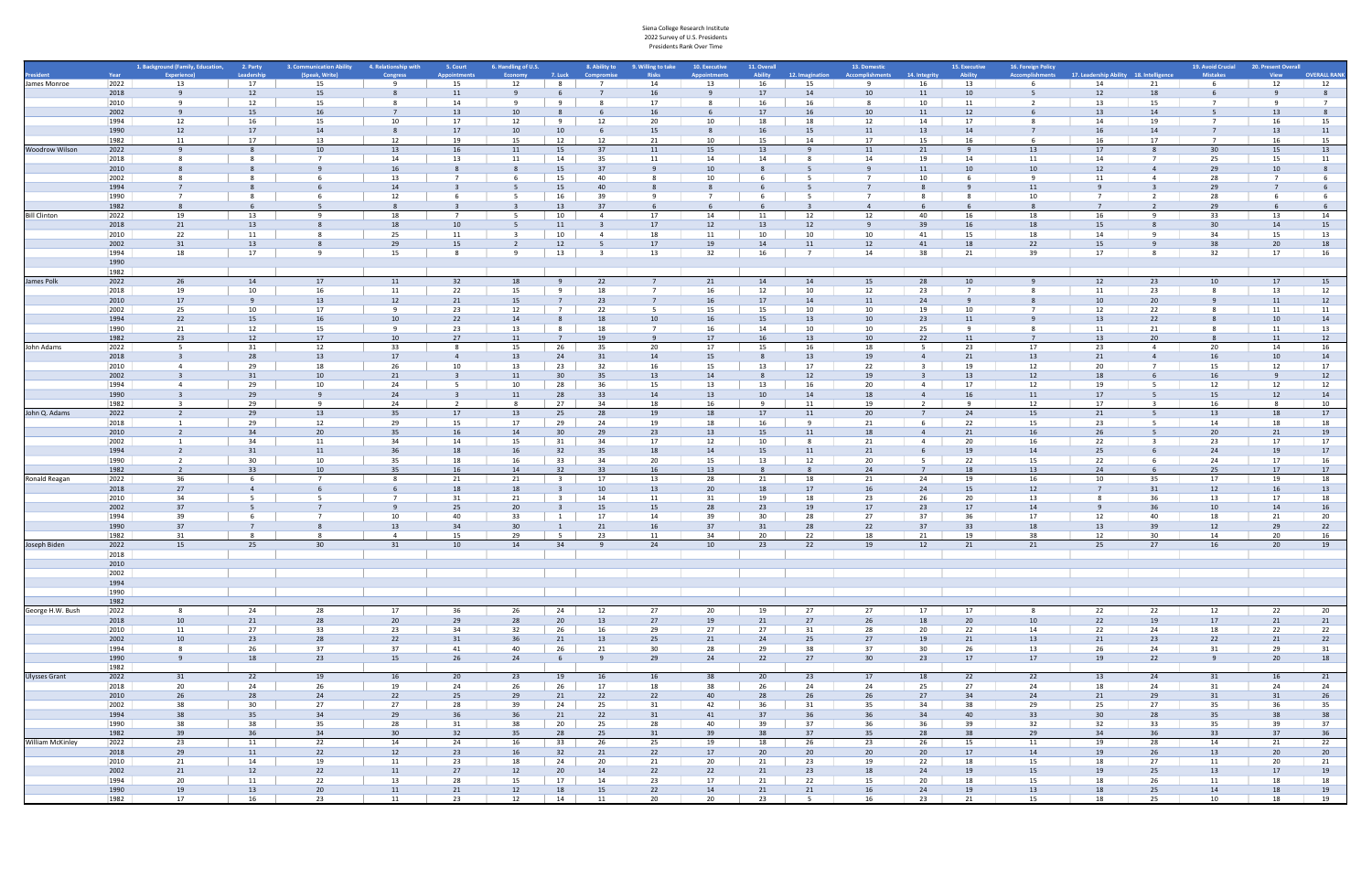|                         |              |                                            |                       | 3. Communication Ability |                       |                               |                                       |                         |                           |                                    |                 |                        |                      |                                        |                          |                          |                                       |                                         |          |                                      |                                    |                     |
|-------------------------|--------------|--------------------------------------------|-----------------------|--------------------------|-----------------------|-------------------------------|---------------------------------------|-------------------------|---------------------------|------------------------------------|-----------------|------------------------|----------------------|----------------------------------------|--------------------------|--------------------------|---------------------------------------|-----------------------------------------|----------|--------------------------------------|------------------------------------|---------------------|
|                         | Year         | 1. Background (Family, Education, 2. Party | Leadership            | (Speak. Write)           | 4. Relationship with  | 5. Court<br><b>Innointmen</b> | 6. Handling of U.S.<br><b>Economy</b> | 7. Luck                 | 8. Ability to<br>Compromi | 9. Willing to take<br><b>Risks</b> | 10. Executive   | 11. Overall<br>Ability | 12. Imagination      | 13. Domestic<br><b>Accomplishments</b> | 14. Integrity            | 15. Executive<br>Ability | 16. Foreign Policy<br>Accomplishments | 17. Leadership Ability 18. Intelligence |          | 19. Avoid Crucial<br><b>Mistakes</b> | 20. Present Overall<br><b>View</b> | <b>OVERALL RANK</b> |
| James Monroe            | 2022         | 13                                         | 17                    | 15                       |                       | 15                            | 12                                    | - 8                     |                           | 14                                 | 13              | 16                     | 15                   |                                        | 16                       | 13                       |                                       | 14                                      | 21       |                                      | 12                                 | 12                  |
|                         | 2018         |                                            | 12                    | 15                       |                       | 11                            |                                       |                         |                           | 16                                 |                 | 17                     | 14                   | 10                                     | 11                       | 10                       |                                       | 12                                      | 18       |                                      |                                    |                     |
|                         | 2010<br>2002 |                                            | 12<br>15 <sup>1</sup> | 15<br>16                 |                       | 14<br>13                      | 10                                    |                         |                           | 17                                 |                 | 16<br>17               | 16<br>16             | 10                                     | 10<br>11                 | 11<br>12                 |                                       | 13<br>13                                | 15       |                                      | 13                                 |                     |
|                         | 1994         | 12                                         | 16                    | 15                       | 10                    | 17                            | 12                                    | 9                       | 12                        | 20                                 | 10              | 18                     | 18                   | 12                                     | 14                       | 17                       |                                       | 14                                      | 19       |                                      | 16                                 | 15                  |
|                         | 1990         | 12                                         | 17                    | 14                       | 8                     | 17                            | 10                                    | 10                      |                           | 15                                 |                 | 16                     | 15                   | 11                                     | 13                       | 14                       |                                       | 16                                      | 14       |                                      | 13                                 | 11                  |
|                         | 1982         | 11                                         | 17                    | 13                       | 12                    | 19                            | 15                                    | 12                      | 12                        | -21                                | 10              | 15                     | 14                   | 17                                     | 15                       | 16                       |                                       | 16                                      | 17       |                                      | 16                                 | 15                  |
| Woodrow Wilson          | 2022         | $\mathsf{q}$                               |                       | 10                       | 13                    | 16                            | 11                                    | 15                      | 37                        | 11                                 | 15              | 13                     | $\mathbf{q}$         | 11                                     | 21                       | 9                        | 13                                    | 17                                      |          | 30                                   | 15                                 | 13                  |
|                         | 2018         |                                            |                       |                          | 14                    | 13                            |                                       | 14                      | 35                        | 11                                 | 14              |                        |                      | 14                                     | 19                       | 14                       | 11                                    | 14                                      |          | 25                                   | 15                                 | 11                  |
|                         | 2010<br>2002 |                                            |                       |                          | 16<br>13              | $\overline{7}$                |                                       | 15<br>15                | 37<br>40                  |                                    |                 |                        |                      |                                        | 11<br>10                 | 10                       | 10                                    | 12<br>11                                |          | 29<br>28                             | 10                                 |                     |
|                         | 1994         |                                            |                       |                          | 14                    |                               |                                       | 15                      | 40                        |                                    |                 |                        |                      |                                        |                          |                          | 11                                    |                                         |          | 29                                   |                                    |                     |
|                         | 1990         |                                            |                       |                          | 12                    |                               |                                       | 16                      | -39                       |                                    |                 |                        |                      |                                        |                          |                          | 10                                    |                                         |          | 28                                   |                                    |                     |
|                         | 1982         |                                            |                       |                          |                       |                               |                                       | 13                      |                           |                                    |                 |                        |                      |                                        |                          |                          |                                       |                                         |          |                                      |                                    |                     |
| Bill Clinton            | 2022         | 19                                         | 13                    |                          | 18                    | - 7                           |                                       | 10                      | 4                         | 17                                 | 14              | 11                     | 12                   | 12                                     | 40                       | 16                       | 18                                    | 16                                      |          | 33                                   | 13                                 | 14                  |
|                         | 2018         | 21                                         | 13                    |                          | 18                    | 10                            |                                       | 11                      |                           | 17                                 | 12              | 13                     | 12                   |                                        | 39                       | 16                       | 18                                    | 15                                      |          | 30                                   | 14                                 | 15                  |
|                         | 2010         | 22                                         | 11                    |                          | 25<br>29              | 11                            |                                       | 10                      |                           | 18                                 | 11              | 10                     | 10                   | 10                                     | 41                       | 15                       | 18                                    | 14                                      |          | 34<br>38                             | 15                                 | 13                  |
|                         | 2002<br>1994 | 31<br>18                                   | 13<br>17              |                          | 15                    | 15<br>$\mathbf{8}$            |                                       | 12<br>13                |                           | 17<br>13                           | 19<br>32        | 14<br>16               | 11<br>$\overline{7}$ | 12<br>14                               | 41<br>38                 | 18<br>21                 | 22<br>39                              | 15<br>17                                |          | 32                                   | 20<br>17                           | 18<br>16            |
|                         | 1990         |                                            |                       |                          |                       |                               |                                       |                         |                           |                                    |                 |                        |                      |                                        |                          |                          |                                       |                                         |          |                                      |                                    |                     |
|                         | 1982         |                                            |                       |                          |                       |                               |                                       |                         |                           |                                    |                 |                        |                      |                                        |                          |                          |                                       |                                         |          |                                      |                                    |                     |
| James Polk              | 2022         | 26                                         | 14                    | 17                       | 11                    | 32                            | 18                                    |                         | 22                        |                                    | 21              | 14                     | 14                   | 15                                     | 28                       | 10                       |                                       | 12                                      | 23       | 10                                   | 17                                 | 15                  |
|                         | 2018         | 19                                         | 10                    | 16                       | 11                    | 22                            | 15                                    | $\mathbf{q}$            | 18                        |                                    | 16              | 12                     | 10                   | 12                                     | 23                       |                          |                                       | 11                                      | 23       |                                      | 13                                 | 12                  |
|                         | 2010         | 17                                         |                       | 13                       | 12                    | 21                            | 15                                    |                         |                           |                                    |                 |                        | 14                   | 11                                     | 24                       |                          |                                       |                                         | 20       |                                      | 11                                 | 12                  |
|                         | 2002<br>1994 | 25<br>22                                   | 10<br>15              | 17<br>16                 | q<br>10               | 23<br>22                      | 12<br>14                              | $\overline{7}$          | - 22<br>18                | 10                                 | 15<br>16        | 15<br>15               | 10<br>13             | 10<br>10                               | 19<br>23                 | 10<br>11                 |                                       | 12<br>13                                | 22<br>22 |                                      | 11<br>10                           | 11<br>14            |
|                         | 1990         | 21                                         | 12                    | 15                       | <b>q</b>              | 23                            | 13                                    |                         | 18                        |                                    | 16              | 14                     | 10                   | 10                                     | 25                       |                          |                                       | 11                                      | 21       |                                      | 11                                 | 13                  |
|                         | 1982         | 23                                         | 12                    | 17                       | 10                    | 27                            | 11                                    | $\overline{7}$          | 1 <sup>c</sup>            |                                    | 17              | 16                     | 13                   | 10                                     | 22                       | 11                       |                                       | 13                                      | 20       |                                      | 11                                 | 12                  |
| John Adams              | 2022         | -5                                         | 31                    | 12                       | 33                    | 8                             | 15                                    | 26                      | 35                        | 20                                 | 17              | 15                     | 16                   | 18                                     | - 5                      | 23                       | 17                                    | 23                                      |          | 20                                   | 14                                 | 16                  |
|                         | 2018         |                                            | 28                    | 13                       | 17                    | $\overline{4}$                | 13                                    | 24                      | 31                        | 14                                 | 15              |                        | 13                   | 19                                     |                          | 21                       | 13                                    | 21                                      |          | 16                                   | 10                                 | 14                  |
|                         | 2010         |                                            | 29                    | 18                       | 26                    | 10                            | 13                                    | 23                      | 32                        | 16                                 | 15              | 13                     | 17                   | 22                                     |                          | 19                       | 12                                    | 20                                      |          | 15                                   | 12                                 | 17                  |
|                         | 2002         |                                            |                       | 10                       | 21                    |                               | 11<br>10                              | 30                      | 35                        | 13                                 | 14              |                        | 12                   | 19                                     |                          | 13                       | 12<br>12                              |                                         |          |                                      |                                    | 12                  |
|                         | 1994<br>1990 |                                            | 29<br>29              |                          | 24<br>24              |                               |                                       | 28<br>28                | 36<br>33                  | 15<br>14                           | 13<br>13        | 13<br>10               | 16<br>14             | 20                                     |                          | 17<br>16                 | 11                                    |                                         |          |                                      | 12<br>12                           | 12<br>14            |
|                         | 1982         | $\overline{\mathbf{3}}$                    | 29                    | - q                      | 24                    | $\overline{2}$                |                                       | 27                      | 34                        | 18                                 | 16              | -9                     | 11                   | 19                                     | $\overline{\phantom{a}}$ | -9                       | 12                                    | 17                                      |          | 16                                   | - 8                                | 10                  |
| John Q. Adams           | 2022         |                                            | 29                    | 13                       | 35                    | 17                            | 13                                    | 25                      | 28                        | 19                                 | 18              | 17                     | 11                   | 20                                     |                          | 24                       | 15                                    | 21                                      |          | 13                                   | 18                                 | 17                  |
|                         | 2018         |                                            | 29                    | 12                       | 29                    | 15                            | 17                                    | 29                      | 24                        | 19                                 | 18              | 16                     |                      | 21                                     |                          | 22                       | 15                                    | 23                                      |          | 14                                   | 18                                 | 18                  |
|                         | 2010         |                                            | 34                    | 20                       | 35                    | 16                            | 14                                    | 30                      | 29                        | 23                                 |                 | 15                     | 11                   |                                        |                          | 21                       | 16                                    |                                         |          | 20                                   | 21                                 | 19                  |
|                         | 2002         |                                            | 34                    | 11                       | 34                    | 14                            | 15                                    | 31                      | 34                        | 17                                 | 12              | 10                     | 8                    | 21                                     |                          | 20                       | 16                                    | 22                                      |          | 23                                   | 17                                 | 17                  |
|                         | 1994<br>1990 |                                            | 31<br>30              | 11<br>10                 | 36<br>35              | 18<br>18                      | 16<br>16                              | 32<br>33                | 35<br>34                  | 18<br>20                           | 14<br>15        | 15<br>13               | 11<br>12             | 21<br>20                               | - 5                      | 19<br>22                 | 14<br>15                              | 25<br>22                                |          | 24<br>24                             | 19<br>17                           | 17<br>16            |
|                         | 1982         | $\overline{2}$                             | 33 <sup>3</sup>       | 10                       | 35                    | 16                            | 14                                    | 32                      | 33                        | 16                                 | 13              |                        |                      | 24                                     |                          | 18                       | 13                                    | 24                                      |          | 25                                   | 17                                 | 17                  |
| Ronald Reagan           | 2022         | 36                                         | 6                     |                          |                       | 21                            | 21                                    | $\overline{\mathbf{3}}$ | 17                        | 13                                 | 28              | 21                     | 18                   | 21                                     | 24                       | 19                       | 16                                    | 10                                      | 35       | 17                                   | 19                                 | 18                  |
|                         | 2018         | 27                                         |                       |                          |                       | 18                            | 18                                    |                         | 10                        | 13                                 | 20 <sup>°</sup> |                        | 17                   |                                        | 24                       | 15                       | 12                                    |                                         |          | 12                                   | 16                                 | 13                  |
|                         | 2010         | 34                                         |                       |                          |                       | 31                            | 21                                    | $\overline{\mathbf{3}}$ | 14                        | 11                                 | 31              | 19                     | 18                   | 23                                     | 26                       | 20                       | 13                                    |                                         | 36       | 13                                   | 17                                 | 18                  |
|                         | 2002         | 37                                         |                       |                          |                       | 25                            | 20                                    |                         | 15                        | 15                                 | 28              | 23                     | 19                   | 17                                     | 23                       | 17                       | 14                                    |                                         |          | 10                                   | 14                                 | 16                  |
|                         | 1994<br>1990 | 39<br>37                                   |                       |                          | 10<br>13              | 40<br>34                      | 33<br>30                              | 1                       | 17<br>21                  | 14<br>16                           | 39<br>37        | 30<br>31               | 28<br>28             | 27<br>22                               | 37<br>37                 | 36<br>33                 | 17<br>18                              | 12<br>13                                | 40<br>39 | 18<br>12                             | 21<br>29                           | 20<br>22            |
|                         | 1982         | 31                                         |                       |                          |                       | 15                            | 29                                    | - 5                     | 23                        | 11                                 | 34              | 20                     | 22                   | 18                                     | 21                       | 19                       | 38                                    | 12                                      | 30       | 14                                   | 20                                 | 16                  |
| Joseph Biden            | 2022         | 15                                         | 25                    | 30 <sup>2</sup>          | 31                    | 10                            | 14                                    | 34                      | $\mathbf{q}$              | 24                                 | 10              | 23                     | 22                   | 19                                     | 12                       | 21                       | 21                                    | 25                                      | 27       | 16                                   | 20                                 | 19                  |
|                         | 2018         |                                            |                       |                          |                       |                               |                                       |                         |                           |                                    |                 |                        |                      |                                        |                          |                          |                                       |                                         |          |                                      |                                    |                     |
|                         | 2010         |                                            |                       |                          |                       |                               |                                       |                         |                           |                                    |                 |                        |                      |                                        |                          |                          |                                       |                                         |          |                                      |                                    |                     |
|                         | 2002         |                                            |                       |                          |                       |                               |                                       |                         |                           |                                    |                 |                        |                      |                                        |                          |                          |                                       |                                         |          |                                      |                                    |                     |
|                         | 1994<br>1990 |                                            |                       |                          |                       |                               |                                       |                         |                           |                                    |                 |                        |                      |                                        |                          |                          |                                       |                                         |          |                                      |                                    |                     |
|                         | 1982         |                                            |                       |                          |                       |                               |                                       |                         |                           |                                    |                 |                        |                      |                                        |                          |                          |                                       |                                         |          |                                      |                                    |                     |
| George H.W. Bush        | 2022         | 8 <sup>2</sup>                             | 24                    | 28                       | 17                    | 36                            | 26                                    | 24                      | 12                        | 27                                 | 20              | 19                     | 27                   | 27                                     | 17                       | 17                       |                                       | 22                                      | 22       | 12                                   | 22                                 | 20                  |
|                         | 2018         | 10                                         | 21                    | 28                       | 20                    | 29                            | 28                                    | 20                      | 13                        | 27                                 | 19              | 21                     | 27                   | 26                                     | 18                       | 20                       | 10                                    | 22                                      | 19       | 17                                   | 21                                 | 21                  |
|                         | 2010         | 11                                         | 27                    | 33                       | 23                    | 34                            | 32                                    | 26                      | 16                        | 29                                 | 27              | 27                     | 31                   | 28                                     | 20                       | 22                       | 14                                    | 22                                      | 24       | 18                                   | 22                                 | 22                  |
|                         | 2002         | 10                                         | 23                    | 28                       | 22                    | 31                            | 36                                    | 21                      | 13                        | 25                                 | 21              | 24                     | 25                   | 27                                     | 19                       | 21                       | 13                                    | 21                                      | 23       | 22                                   | 21                                 | 22                  |
|                         | 1994<br>1990 | 8<br>9                                     | 26<br>18              | 37<br>23                 | 37<br>15              | 41<br>26                      | 40<br>24                              | 26<br>6                 | 21<br>9                   | 30<br>29                           | 28<br>24        | 29<br>22               | 38<br>27             | 37<br>30 <sup>°</sup>                  | 30<br>23                 | 26<br>17                 | 13<br>17                              | 26<br>19                                | 24<br>22 | 31<br>9                              | 29<br>20                           | 31<br>18            |
|                         | 1982         |                                            |                       |                          |                       |                               |                                       |                         |                           |                                    |                 |                        |                      |                                        |                          |                          |                                       |                                         |          |                                      |                                    |                     |
| <b>Ulysses Grant</b>    | 2022         | 31                                         | 22                    | 19                       | 16                    | 20                            | 23                                    | 19                      | 16                        | 16                                 | 38              | 20                     | 23                   | 17                                     | 18                       | 22                       | 22                                    | 13                                      | 24       | 31                                   | 16                                 | 21                  |
|                         | 2018         | 20                                         | 24                    | 26                       | 19                    | 24                            | 26                                    | 26                      | 17                        | 18                                 | 38              | 26                     | 24                   | 24                                     | 25                       | 27                       | 24                                    | 18                                      | 24       | 31                                   | 24                                 | 24                  |
|                         | 2010         | 26                                         | 28                    | 24                       | 22                    | 25                            | 29                                    | 21                      | 22                        | 22                                 | 40              | 28                     | 26                   | 26                                     | 27                       | 34                       | 24                                    | 21                                      | 29       | 31                                   | 31                                 | 26                  |
|                         | 2002         | 38                                         | 30 <sup>°</sup>       | 27                       | 27                    | 28                            | 39                                    | 24                      | 25                        | 31                                 | 42              | 36                     | 31                   | 35                                     | 34                       | 38                       | 29                                    | 25                                      | 27       | 35                                   | 36                                 | 35                  |
|                         | 1994         | 38                                         | 35                    | 34                       | 29                    | 36                            | 36                                    | 21                      | 22                        | 31                                 | 41              | 37                     | 36                   | 36                                     | 34                       | 40                       | 33                                    | 30                                      | 28       | 35                                   | 38                                 | 38                  |
|                         | 1990<br>1982 | 38<br>39                                   | 38<br>36              | 35<br>34                 | 28<br>30 <sup>°</sup> | 31<br>32                      | 38<br>35                              | 20<br>28                | 25<br>25                  | 28<br>31                           | 40<br>39        | 39<br>38               | 37<br>37             | 36<br>35                               | 36<br>28                 | 39<br>38                 | 32<br>29                              | 32<br>34                                | 33<br>36 | 35<br>33                             | 39<br>37                           | 37<br>36            |
| <b>William McKinley</b> | 2022         | 23                                         | 11                    | 22                       | 14                    | 24                            | 16                                    | 33                      | 26                        | 25                                 | 19              | 18                     | 26                   | 23                                     | 26                       | 15                       | 11                                    | 19                                      | 28       | 14                                   | 21                                 | 22                  |
|                         | 2018         | 29                                         | 11                    | 22                       | 12                    | 23                            | 16                                    | 32                      | 21                        | 22                                 | 17              | 20                     | 20                   | 20                                     | 20 <sub>2</sub>          | 17                       | 14                                    | 19                                      | 26       | 13                                   | 20                                 | 20                  |
|                         | 2010         | 21                                         | 14                    | 19                       | 11                    | 23                            | 18                                    | 24                      | 20                        | 21                                 | 20              | 21                     | 23                   | 19                                     | 22                       | 18                       | 15                                    | 18                                      | 27       | 11                                   | 20                                 | 21                  |
|                         | 2002         | 21                                         | 12                    | 22                       | 11                    | 27                            | 12                                    | 20                      | 14                        | 22                                 | 22              | 21                     | 23                   | 18                                     | 24                       | 19                       | 15                                    | 19                                      | 25       | 13                                   | 17                                 | 19                  |
|                         | 1994         | 20                                         | 11                    | 22                       | 13                    | 28                            | 15                                    | 17                      | 14                        | 23                                 | 17              | 21                     | 22                   | 15                                     | 20                       | 18                       | 15                                    | 18                                      | 26       | 11                                   | 18                                 | 18                  |
|                         | 1990         | 19                                         | 13                    | 20                       | 11                    | 21                            | 12                                    | 18                      | 15                        | 22                                 | 14              | 21                     | 21                   | 16                                     | 24                       | 19                       | 13                                    | 18                                      | 25       | 14                                   | 18                                 | 19                  |
|                         | 1982         | 17                                         | 16                    | 23                       | 11                    | 23                            | 12                                    | 14                      | 11                        | 20                                 | 20              | 23                     | $5^{\circ}$          | 16                                     | 23                       | 21                       | 15                                    | 18                                      | 25       | 10                                   | 18                                 | 19                  |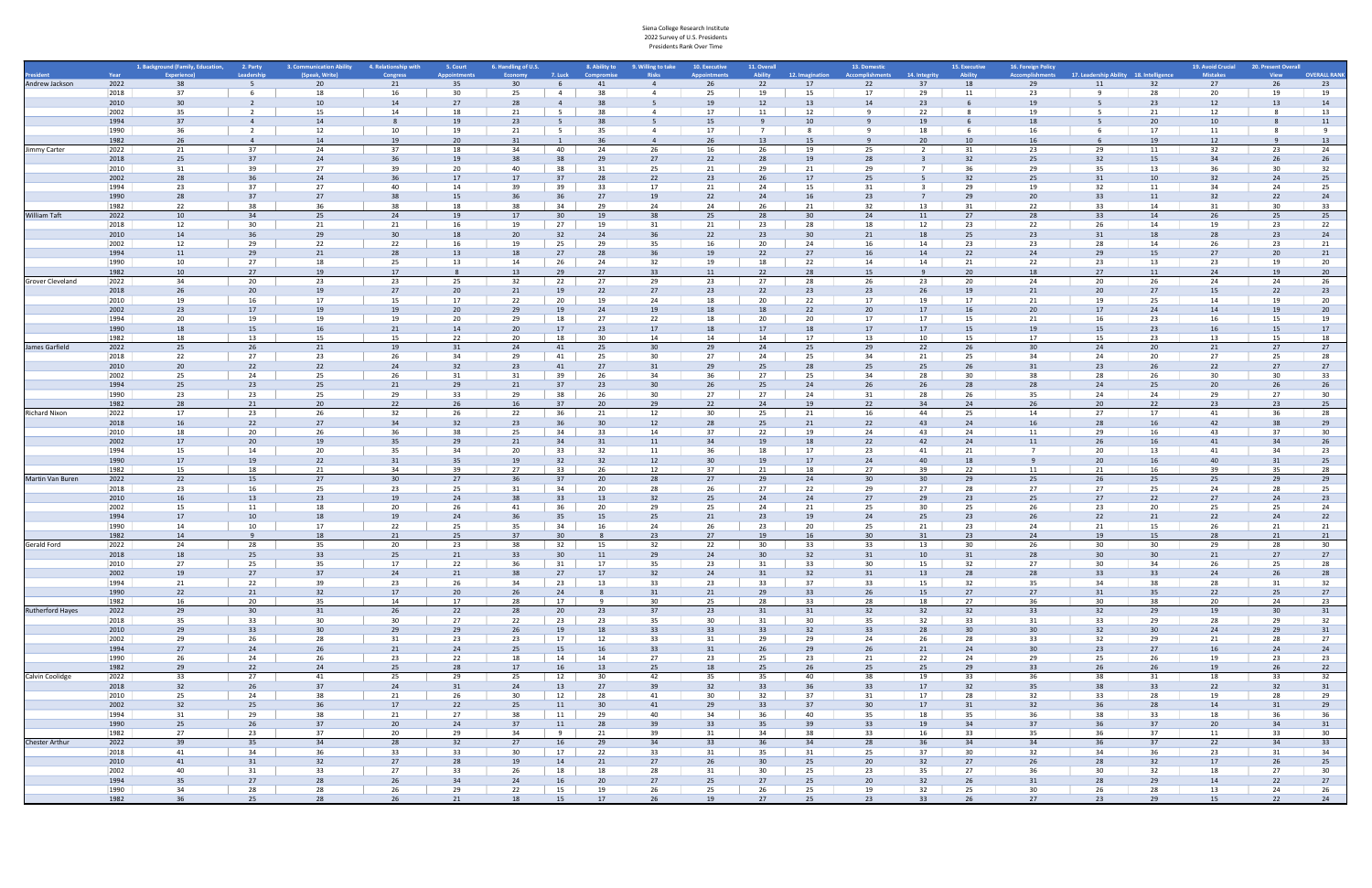|                  |              | 1. Background (Family, Education, 2. Party |                       | 3. Communication Ability | 4. Relationship with  | 5. Court        | 6. Handling of U.S. |                 | 8. Ability to     | 9. Willing to take | 10. Executive   | 11. Overall     |                 | 13. Domestic    |                 | 15. Executive         | 16. Foreign Policy     |                                         | 19. Avoid Crucial | 20. Present Overall |                     |
|------------------|--------------|--------------------------------------------|-----------------------|--------------------------|-----------------------|-----------------|---------------------|-----------------|-------------------|--------------------|-----------------|-----------------|-----------------|-----------------|-----------------|-----------------------|------------------------|-----------------------------------------|-------------------|---------------------|---------------------|
|                  | Year         |                                            | Leadership            | (Speak, Writ             |                       | ppointmen       |                     | 7. Luck         |                   |                    |                 | <b>Ability</b>  | 12. Imagination |                 | 14. Integrity   | Ability               | <b>Accomplishments</b> | 17. Leadership Ability 18. Intelligence | <b>Mistakes</b>   |                     | <b>OVERALL RANK</b> |
| Andrew Jackson   | 2022         | 38                                         | 5 <sup>5</sup>        | 20                       | 21                    | 35              | 30                  |                 | 41                | $\overline{4}$     | 26              | 22              | 17              | 22              | 37              | 18                    | 29                     | 32<br>11                                | 27                | 26                  | 23                  |
|                  | 2018<br>2010 | 37<br>30                                   | 6                     | 18<br>10                 | 16<br>14              | 30<br>27        | 25<br>28            | $\overline{4}$  | 38                |                    | 25<br>19        | 19<br>12        | 15<br>13        | 17<br>14        | 29<br>23        | 11                    | 23<br>19               | 28<br>23                                | 20<br>12          | 19<br>13            | 19<br>14            |
|                  | 2002         | 35                                         |                       | 15                       | 14                    | 18              | 21                  | - 5             |                   |                    |                 | 11              | 12              |                 | 22              |                       |                        | 21                                      | 12                |                     | 13                  |
|                  | 1994         | 37                                         |                       | 14                       |                       | 19              | 23                  |                 |                   |                    | 15              |                 | 10              |                 | 19              |                       | 18                     | 20                                      |                   |                     | 11                  |
|                  | 1990         | 36                                         | 2                     | 12                       | 10                    | 19              | 21                  | 5               | -35               | -4                 | 17              | $7^{\circ}$     | 8               |                 | 18              | 6                     | 16                     | 17                                      | 11                |                     | 9                   |
|                  | 1982         | 26                                         | $\overline{a}$        | 14                       | 19                    | 20              | 31                  |                 | 36                | $\overline{4}$     | 26              | 13              | 15              |                 | 20              | 10                    | 16                     | 19                                      | 12                |                     | 13                  |
| Jimmy Carter     | 2022         | 21                                         | 37                    | 24                       | 37                    | 18              | 34                  | 40              | 24                | 26                 | 16              | 26              | 19              | 25              | $\overline{2}$  | 31                    | 23                     | 29<br>11                                | 32                | 23                  | 24                  |
|                  | 2018         | 25<br>31                                   | 37<br>39              | 24<br>27                 | 39                    | 19<br>20        | 40                  | 38<br>38        | <b>29</b><br>- 31 | 27<br>25           | 22<br>21        | 28              | 19<br>21        | 28<br>29        |                 | 32<br>36              | 25<br>29               | 15<br>13<br>35                          | 34<br>36          | 26<br>30            | 26                  |
|                  | 2010<br>2002 | 28                                         | 36                    | 24                       | 36                    | 17              | 17                  | 37              | 28                | 22                 | 23              | 29<br>26        | 17              | 25              |                 | 32                    | 25                     | 31<br>10                                | 32                | 24                  | 32<br>25            |
|                  | 1994         | 23                                         | 37                    | 27                       | 40                    | 14              | 39                  | 39              | 33                | 17                 | 21              | 24              | 15              | 31              |                 | 29                    | 19                     | 32<br>11                                | 34                | 24                  | 25                  |
|                  | 1990         | 28                                         | 37                    | 27                       | 38                    | 15              | 36                  | 36              | 27                | 19                 | 22              | 24              | 16              | 23              |                 | 29                    | 20                     | 33<br>11                                | 32                | 22                  | 24                  |
|                  | 1982         | 22                                         | 38                    |                          | 38                    | 18              | 38                  | 34              | 29                | 24                 | 24              | 26              | 21              | 32              | 13              | 31                    | 22                     | 14<br>33                                | 31                | 30                  | 33                  |
| William Taft     | 2022         | 10                                         | 34                    | 25                       | 24                    | 19              | 17                  | 30 <sup>2</sup> | 19                | 38                 | 25              | 28              | 30 <sub>o</sub> | 24              | 11              | 27                    | 28                     | 33<br>14                                | 26                | 25                  | 25                  |
|                  | 2018         | 12                                         | 30 <sup>°</sup>       | 21                       | 21                    | 16              | 19                  | 27              | 19                | 31                 | 21              | 23              | 28              | 18              | 12              | 23                    | 22                     | 26<br>14                                | 19                | 23                  | 22                  |
|                  | 2010<br>2002 | 14                                         | 36                    | 29                       | 30                    | 18<br>16        | 20                  | 32              | 24                | 36                 | 22<br>16        | 23              | 30              | 21              | 18              | 25                    | 23                     | 18<br>31<br>28<br>14                    | 28                | 23                  | 24                  |
|                  | 1994         | 12<br>11                                   | 29<br>29              | 22<br>21                 | 22<br>28              | 13              | 19                  | 25<br>27        | 29<br>28          | 35                 |                 | 20<br>22        | 24<br>27        | 16              | 14<br>14        | 23<br>22              | 23<br>24               | 15                                      | 26<br>27          | 23<br>20            | 21<br>21            |
|                  | 1990         | 10                                         | 27                    | 18                       | 25                    | 13              | 14                  | 26              | 24                | 32                 | 19              | 18              | 22              | 14              | 14              | 21                    | 22                     | 13<br>23                                | 23                | 19                  | 20                  |
|                  | 1982         | 10                                         | 27                    | 19                       | 17                    | -8              | 13                  | 29              | 27                | 33                 | 11              | 22              | 28              | 15              |                 | 20                    | 18                     | 27<br>11                                | 24                | 19                  | 20                  |
| Grover Cleveland | 2022         | 34                                         | 20                    | 23                       | 23                    | 25              | 32                  | 22              | 27                | 29                 | 23              | 27              | 28              | 26              | 23              | 20                    | 24                     | 26<br>20                                | 24                | 24                  | 26                  |
|                  | 2018         | 26                                         | 20                    | 19                       | 27                    | 20 <sub>2</sub> | 21                  | 19              | 22                | 27                 | 23              | 22              | 23              | 23              | 26              | 19                    | 21                     | 20<br>27                                | 15                | 22                  | 23                  |
|                  | 2010         | 19                                         | 16                    | 17                       | 15                    | 17              | 22                  | 20              | 19                | 24                 | 18              | 20              | 22              | 17              | 19              | 17                    | 21                     | 25                                      | 14                | 19                  | 20                  |
|                  | 2002         | 23                                         | 17                    | 19                       | 19                    | 20 <sub>2</sub> | 29                  | 19              | 24                | 19                 |                 |                 | 22              | 20              | 17              | 16                    | 20                     | 24                                      |                   | 19                  | 20                  |
|                  | 1994         | 20                                         | 19                    | 19                       | 19                    | 20              | 29                  | 18              | 27                | 22                 | 18<br>18        | 20              | 20              | 17              | 17<br>17        | 15                    | 21                     | 23<br>16<br>15                          | 16                | 15                  | 19                  |
|                  | 1990<br>1982 | 18<br>18                                   | 15<br>13              | 16<br>15                 | 21<br>15              | 14<br>22        | 20<br>20            | 17<br>18        | 23<br>30          | 17<br>14           | 14              | 17<br>14        | 18<br>17        | 17<br>13        | 10              | 15<br>15              | 19<br>17               | 23<br>23<br>15                          | 16<br>13          | 15<br>15            | 17<br>18            |
| James Garfield   | 2022         | 25                                         | 26                    | 21                       | 19                    | 31              | 24                  | 41              | 25                | 30                 | 29              | 24              | 25              | 29              | 22              | 26                    | 30                     | 24<br>20                                | 21                | 27                  | 27                  |
|                  | 2018         | 22                                         | 27                    | 23                       | 26                    | 34              | 29                  | 41              | 25                | 30                 | 27              | 24              | 25              | 34              | 21              | 25                    | 34                     | 20<br>24                                | 27                | 25                  | 28                  |
|                  | 2010         | 20                                         | 22                    | 22                       | 24                    | 32              | 23                  | 41              | 27                | 31                 | 29              | 25              | 28              | 25              | 25              | 26                    | 31                     | 26<br>23                                | 22                | 27                  | 27                  |
|                  | 2002         | 25                                         | 24                    | 25                       | 26                    | 31              | 31                  | 39              | 26                | 34                 |                 | 27              | 25              | 34              | 28              | 30                    | 38                     | 26                                      | 30                | 30                  | 33                  |
|                  | 1994         | 25                                         | 23                    | 25                       | 21                    | 29              | 21                  | 37              | 23                | 30                 |                 | 25              | 24              | 26              | 26              | 28                    | 28                     | 24<br>25                                | 20                | 26                  | 26                  |
|                  | 1990         | 23                                         | 23                    | 25                       | 29                    | 33              | 29                  | 38              | -26               | 30                 | 27              | 27              | 24              | 31              | 28              | 26                    | 35                     | 24<br>24                                | 29                | 27                  | 30                  |
| Richard Nixon    | 1982<br>2022 | 28<br>17                                   | 21<br>23              | 20<br>26                 | 22<br>32              | 26<br>26        | 16<br>22            | 37<br>36        | 20<br>21          | 29<br>12           | 22<br>30        | 24<br>25        | 19<br>21        | 22<br>16        | 34<br>44        | 24<br>25              | 26<br>14               | 22<br>20<br>27<br>17                    | 23<br>41          | 23<br>36            | 25<br>28            |
|                  | 2018         | 16                                         | 22                    | 27                       | 34                    | 32              | 23                  | 36              | 3 <sub>C</sub>    | 12                 | 28              | 25              | 21              | 22              | 43              | 24                    | 16                     | 16<br>28                                | 42                | 38                  | 29                  |
|                  | 2010         | 18                                         | 20                    | 26                       | 36                    | 38              | 25                  | 34              | 33                | 14                 | 37              | 22              | 19              | 24              | 43              | 24                    | 11                     | 16<br>29                                | 43                | 37                  | 30                  |
|                  | 2002         | 17                                         | 20                    | 19                       | 35                    | 29              |                     | 34              |                   | 11                 |                 |                 | 18              | 22              | 42              | 24                    | 11                     | 16                                      | 41                |                     | 26                  |
|                  | 1994         | 15                                         | 14                    | 20                       | 35                    | 34              | 20                  | 33              | 32                | 11                 | 36              | 18              | 17              | 23              | 41              | 21                    |                        | 13<br>20                                | 41                | 34                  | 23                  |
|                  | 1990         | 17                                         | 19                    | 22                       | 31                    | 35 <sub>5</sub> | 19                  | 32              | 32                | 12                 | 30 <sup>°</sup> | 19              | 17              | 24              | 40              | 18                    |                        | 20<br>16                                | 40                | 31                  | 25                  |
|                  | 1982         | 15                                         | 18                    | 21                       | 34                    | 39              | 27                  | 33              | 26                | 12                 | 37              | 21              | 18              | 27              | 39              | 22                    | 11                     | 21<br>16                                | 39                | 35                  | 28                  |
| Martin Van Buren | 2022         | 22                                         | 15                    | 27                       | 30 <sup>°</sup>       | 27              | 36                  | 37              | 20                | 28                 | 27              | 29              | 24              | 30 <sup>2</sup> | 30 <sub>o</sub> | 29                    | 25                     | 26<br>25                                | 25                | 29                  | 29                  |
|                  | 2018<br>2010 | 23<br>16                                   | 16<br>13              | 25<br>23                 | 23<br>19              | 25<br>24        | 31<br>38            | 34<br>33        | 20<br>13          | 28<br>32           | 26<br>25        | 27<br>24        | 22<br>24        | 29<br>27        | 27<br>29        | 28<br>23              | 27<br>25               | 27<br>25<br>27<br>22                    | 24<br>27          | 28<br>24            | 25<br>23            |
|                  | 2002         | 15                                         | 11                    | 18                       | 20                    | 26              | 41                  | 36              | 20                | 29                 | 25              | 24              | 21              | 25              | 30              | 25                    | 26                     | 23<br>20                                | 25                | 25                  | 24                  |
|                  | 1994         | 17                                         | 10                    | 18                       | 19                    | 24              | 36                  | 35              | 15                | 25                 | 21              | 23              | 19              | 24              | 25              | 23                    | 26                     | 22<br>21                                | 22                | 24                  | 22                  |
|                  | 1990         | 14                                         | 10                    | 17                       | 22                    | 25              | 35                  | 34              | 16                | 24                 | 26              | 23              | 20              | 25              | 21              | 23                    | 24                     | 21<br>15                                | 26                | 21                  | 21                  |
|                  | 1982         | 14                                         |                       | 18                       | 21                    | 25              | 37                  | 30 <sup>2</sup> |                   | 23                 | 27              | 19              | 16              | 30              |                 | 23                    | 24                     | 15                                      | 28                | 21                  | 21                  |
| Gerald Ford      | 2022         | 24                                         | 28                    | 35                       | 20                    | 23              | 38                  | 32              | 15                | 32                 | 22              | 30              | 33              | 33              | 13              | 30                    | 26                     | 30<br>30                                | 29                | 28                  | 30                  |
|                  | 2018         | 18                                         | 25                    | 33                       | 25                    | 21              | 33                  | 30 <sup>2</sup> | 11                | 29                 | 24              | 30              | 32              | 31<br>30        | 10              | 31                    | 28<br>27               | 30<br>30 <sup>°</sup><br>34             | 21                | 27                  | 27                  |
|                  | 2010<br>2002 | 27<br>19                                   | 25<br>27              | 35<br>37                 | 17<br>24              | 22<br>21        | 36<br>38            | 31<br>27        | 17<br>17          | 35<br>32           | 23<br>24        | 31              | 33<br>32        | 31              | 15<br>13        | 32<br>28              | 28                     | 33<br>33                                | 26<br>24          | 25<br>26            | 28<br>28            |
|                  | 1994         | 21                                         | 22                    | 39                       | 23                    | 26              | 34                  | 23              | 13                | 33                 | 23              | 33              | 37              | 33              | 15              | 32                    | 35                     | 38<br>34                                | 28                | 31                  | 32                  |
|                  | 1990         | 22                                         | 21                    | 32                       | 17                    | 20              | 26                  | 24              | 8                 | 31                 | 21              | 29              | 33              | 26              | 15              | 27                    | 27                     | 31<br>35                                | 22                | 25                  | 27                  |
|                  | 1982         | 16                                         | 20                    | 35                       | 14                    | 17              | 28                  | 17              | 9                 | 30                 | 25              | 28              | 33              | 28              | 18              | 27                    | 36                     | 30<br>38                                | 20                | 24                  | 23                  |
| Rutherford Hayes | 2022         | 29                                         | 30 <sup>°</sup>       | 31                       | 26                    | 22              | 28                  | 20              | 23                | 37                 | 23              | 31              | 31              | 32              | 32              | 32                    | 33                     | 32<br>29                                | 19                | 30                  | 31                  |
|                  | 2018         | 35                                         | 33                    | 30                       | 30                    | 27              | 22                  | 23              | 23                | 35                 | 30              | 31              | 30              | 35              | 32              | 33                    | 31                     | 29<br>33                                | 28                | 29                  | 32                  |
|                  | 2010<br>2002 | 29<br>29                                   | 33 <sup>2</sup><br>26 | 30 <sup>°</sup><br>28    | 29<br>31              | 29<br>23        | 26<br>23            | 19<br>17        | 18<br>12          | 33<br>33           | 33<br>31        | 33<br>29        | 32<br>29        | 33<br>24        | 28<br>26        | 30 <sup>°</sup><br>28 | 30 <sup>°</sup><br>33  | 32<br>30<br>29<br>32                    | 24<br>21          | 29<br>28            | 31<br>27            |
|                  | 1994         | 27                                         | 24                    | 26                       | 21                    | 24              | 25                  | 15              | 16                | 33                 | 31              | 26              | 29              | 26              | 21              | 24                    | 30 <sup>°</sup>        | 23<br>27                                | 16                | 24                  | 24                  |
|                  | 1990         | 26                                         | 24                    | 26                       | 23                    | 22              | 18                  | 14              | 14                | 27                 | 23              | 25              | 23              | 21              | 22              | 24                    | 29                     | 25<br>26                                | 19                | 23                  | 23                  |
|                  | 1982         | 29                                         | 22                    | 24                       | 25                    | 28              | 17                  | 16              | 13                | 25                 | 18              | 25              | 26              | 25              | 25              | 29                    | 33                     | 26<br>26                                | 19                | 26                  | 22                  |
| Calvin Coolidge  | 2022         | 33                                         | 27                    | 41                       | 25                    | 29              | 25                  | 12              | 30                | 42                 | 35              | 35              | 40              | 38              | 19              | 33                    | 36                     | 31<br>38                                | 18                | 33                  | 32                  |
|                  | 2018         | 32                                         | 26                    | 37                       | 24                    | 31              | 24                  | 13              | 27                | 39                 | 32              | 33              | 36              | 33              | 17              | 32                    | 35                     | 33<br>38                                | 22                | 32                  | 31                  |
|                  | 2010         | 25                                         | 24                    | 38                       | 21                    | 26              | 30                  | 12              | 28                | 41                 | 30              | 32              | 37              | 31              | 17              | 28                    | 32                     | 28<br>33                                | 19                | 28                  | 29                  |
|                  | 2002         | 32                                         | 25                    | 36                       | 17                    | 22              | 25                  | 11              | 30                | 41                 | 29              | 33              | 37              | 30 <sup>°</sup> | 17              | 31                    | 32                     | 36<br>28                                | 14                | 31                  | 29                  |
|                  | 1994<br>1990 | 31<br>25                                   | 29<br>26              | 38<br>37                 | 21<br>20 <sub>2</sub> | 27<br>24        | 38<br>37            | 11<br>11        | 29<br>28          | 40<br>39           | 34<br>33        | 36<br>35        | 40<br>39        | 35<br>33        | 18<br>19        | 35<br>34              | 36<br>37               | 33<br>38<br>37<br>36                    | 18<br>20          | 36<br>34            | 36<br>31            |
|                  | 1982         | 27                                         | 23                    | 37                       | 20                    | 29              | 34                  | 9               | 21                | 39                 | 31              | 34              | 38              | 33              | 16              | 33                    | 35                     | 37<br>36                                | 11                | 33                  | 30                  |
| Chester Arthur   | 2022         | 39                                         | 35                    | 34                       | 28                    | 32              | 27                  | 16              | 29                | 34                 | 33              | 36              | 34              | 28              | 36              | 34                    | 34                     | 37<br>36                                | 22                | 34                  | 33                  |
|                  | 2018         | 41                                         | 34                    | 36                       | 33                    | 33              | 30                  | 17              | 22                | 33                 | 31              | 35              | 31              | 25              | 37              | 30                    | 32                     | 34<br>36                                | 23                | 31                  | 34                  |
|                  | 2010         | 41                                         | 31                    | 32                       | 27                    | 28              | 19                  | 14              | 21                | 27                 | 26              | 30 <sup>°</sup> | 25              | 20              | 32              | 27                    | 26                     | 28<br>32                                | 17                | 26                  | 25                  |
|                  | 2002         | 40                                         | 31                    | 33                       | 27                    | 33              | 26                  | 18              | 18                | 28                 | 31              | 30              | 25              | 23              | 35              | 27                    | 36                     | 32<br>30                                | 18                | 27                  | 30                  |
|                  | 1994         | 35                                         | 27                    | 28                       | 26                    | 34              | 24                  | 16              | 20                | 27                 | 25              | 27              | 25              | 20              | 32              | 26                    | 31                     | 28<br>29                                | 14                | 22                  | 27                  |
|                  | 1990<br>1982 | 34<br>36                                   | 28<br>25              | 28<br>28                 | 26<br>26              | 29<br>21        | 22<br>18            | 15<br>15        | 19<br>17          | 26<br>26           | 25<br>19        | 26<br>27        | 25<br>25        | 19<br>23        | 32<br>33        | 25<br>26              | 30<br>27               | 28<br>26<br>23<br>29                    | 13<br>15          | 24<br>22            | 26<br>24            |
|                  |              |                                            |                       |                          |                       |                 |                     |                 |                   |                    |                 |                 |                 |                 |                 |                       |                        |                                         |                   |                     |                     |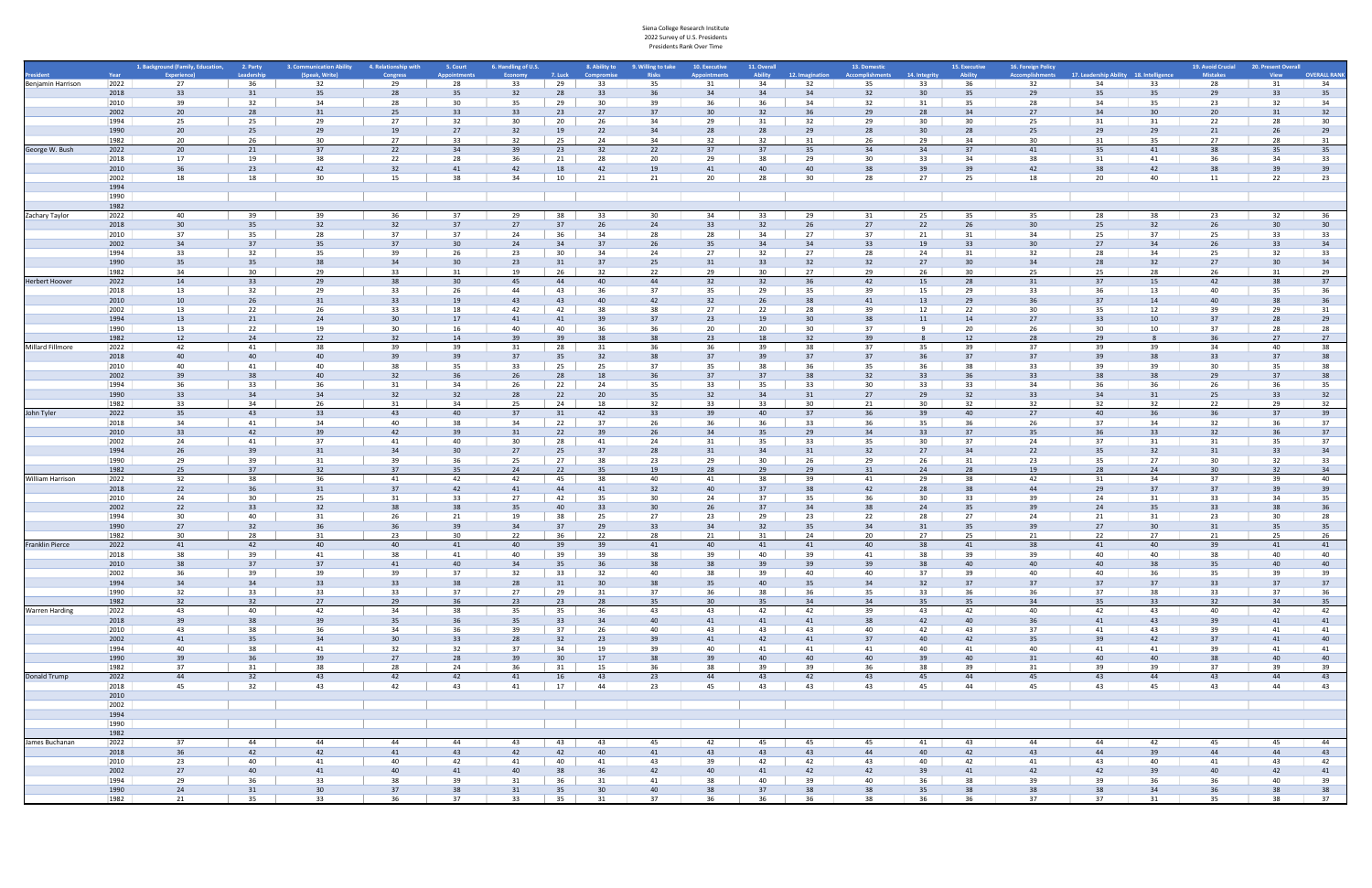|                       |              | 1. Background (Family, Education, 2. Party |                       | 3. Communication Ability | 4. Relationship with | 5. Court              | 6. Handling of U.S. |                 |           | 8. Ability to 9. Willing to take | 10. Executive         | 11. Overall    |                 | 13. Domestic           |               | 15. Executive | 16. Foreign Policy     |                                         |          | 19. Avoid Crucial | 20. Present Overall |                     |
|-----------------------|--------------|--------------------------------------------|-----------------------|--------------------------|----------------------|-----------------------|---------------------|-----------------|-----------|----------------------------------|-----------------------|----------------|-----------------|------------------------|---------------|---------------|------------------------|-----------------------------------------|----------|-------------------|---------------------|---------------------|
|                       | Year         | Experience)                                | Leadership            | (Speak, Write)           | <b>Congress</b>      | <b>Appointments</b>   | Economy             | 7. Luck         | Compromis | <b>Risks</b>                     |                       | <b>Ability</b> | 12. Imagination | <b>Accomplishments</b> | 14. Integrity | Ability       | <b>Accomplishments</b> | 17. Leadership Ability 18. Intelligence |          | <b>Mistakes</b>   | <b>View</b>         | <b>OVERALL RANK</b> |
| Benjamin Harrison     | 2022         | 27                                         | 36                    | 32                       | 29                   | 28                    | 33                  | 29              | 33        | 35                               | 31                    | 34             | 32              | 35                     | 33            | 36            | 32                     | 34                                      | 33       | 28                | 31                  | 34                  |
|                       | 2018         | 33                                         | 31                    | 35                       | 28                   | 35                    | 32                  | 28              | 33        | 36                               | 34                    | 34             | 34              | 32                     | 30            | 35            | 29                     | 35                                      | 35       | 29                | 33                  | 35                  |
|                       | 2010         | 39                                         | 32                    | 34                       | 28                   | 30                    | 35                  | 29              | 30        | 39                               | 36                    | 36             | 34              | 32                     | 31            | 35            | 28                     | 34                                      | 35       | 23                | 32                  | 34                  |
|                       | 2002         | 20 <sup>°</sup>                            | 28                    | 31                       | 25                   | 33 <sup>2</sup>       | 33                  | 23              | 27        | 37                               |                       | 32             | 36              | 29                     | 28            | 34            | 27                     | 34                                      |          | 20                | 31                  | 32                  |
|                       | 1994<br>1990 | 25<br>20                                   | 25<br>25              | 29<br>29                 | 27<br>19             | 32<br>27              | 30<br>32            | 20<br>19        | 26<br>22  | 34<br>34                         | 29<br>28              | 31<br>28       | 32<br>29        | 29<br>28               | 30<br>30      | 30<br>28      | 25<br>25               | 31<br>29                                | 31<br>29 | 22<br>21          | 28<br>26            | 30<br>29            |
|                       | 1982         | 20                                         | 26                    | 30                       | 27                   | 33                    | 32                  | 25              | 24        | 34                               | 32                    | 32             | 31              | 26                     | 29            | 34            | 30 <sup>°</sup>        | 31                                      | 35       | 27                | 28                  | 31                  |
| George W. Bush        | 2022         | 20                                         | 21                    | 37                       | 22                   | 34                    | 39                  | 23              | 32        | 22                               | 37                    | 37             | 35              | 34                     | 34            | 37            | 41                     | 35                                      | 41       | 38                | 35                  | 35                  |
|                       | 2018         | 17                                         | 19                    | 38                       | 22                   | 28                    | 36                  | 21              | 28        | 20                               | 29                    | 38             | 29              | 30                     | 33            | 34            | 38                     | 31                                      | 41       | 36                | 34                  | 33                  |
|                       | 2010         | 36                                         | 23                    | 42                       | 32                   | 41                    | 42                  | 18              | 42        | 19                               | 41                    | 40             | 40              | 38                     | 39            | 39            | 42                     |                                         | 42       |                   |                     | 39                  |
|                       | 2002         | 18                                         | 18                    | 30                       | 15                   | 38                    | 34                  | 10              | 21        | 21                               | 20                    | 28             | 30              | 28                     | 27            | 25            | 18                     | 20                                      | 40       | 11                | 22                  | 23                  |
|                       | 1994         |                                            |                       |                          |                      |                       |                     |                 |           |                                  |                       |                |                 |                        |               |               |                        |                                         |          |                   |                     |                     |
|                       | 1990         |                                            |                       |                          |                      |                       |                     |                 |           |                                  |                       |                |                 |                        |               |               |                        |                                         |          |                   |                     |                     |
|                       | 1982         |                                            |                       |                          |                      |                       |                     |                 |           |                                  |                       |                |                 |                        |               |               |                        |                                         |          |                   |                     |                     |
| Zachary Taylor        | 2022         | 40                                         | 39                    | 39                       | 36                   | 37                    | 29                  | 38              | 33        | 30                               | 34                    | 33             | 29              | 31                     | 25            | 35            | 35                     | 28                                      | 38       | 23                | 32                  | 36                  |
|                       | 2018         | 30 <sup>°</sup>                            | 35                    | 32                       | 32                   | 37                    | 27                  | 37              | 26        | -24                              | 33                    | 32             | 26              | 27                     | 22            | 26            | 30                     | 25                                      | 32       | 26                | 30                  | 30                  |
|                       | 2010         | 37                                         | 35                    | 28                       | 37                   | 37                    | 24                  | 36              | 34        | 28                               | 28                    | 34             | 27              | 37                     | 21            | 31            | 34                     | 25                                      | 37       | 25                | 33                  | 33                  |
|                       | 2002         | 34                                         | 37                    | 35                       | 37                   | 30 <sup>°</sup>       | 24                  | 34              | 37        | 26                               | 35                    | 34             | 34              | 33                     | 19            | 33            | 30                     | 27                                      | 34       | 26                | 33                  | 34                  |
|                       | 1994         | 33                                         | 32                    | 35                       | 39                   | 26                    | 23                  | 30              | 34        | 24                               | 27                    | 32             | 27              | 28                     | 24            | 31            | 32                     | 28                                      | 34<br>32 | 25                | 32                  | 33                  |
|                       | 1990<br>1982 | 35<br>34                                   | 35 <sup>5</sup><br>30 | 38<br>29                 | 34<br>33             | 30 <sup>°</sup><br>31 | 23<br>19            | 31<br>26        | 37<br>32  | 25<br>22                         | 31<br>29              | 33<br>30       | 32<br>27        | 32<br>29               | 27<br>26      | 30<br>30      | 34<br>25               | 28<br>25                                | 28       | 27<br>26          | 30<br>31            | 34<br>29            |
| Herbert Hoover        | 2022         | 14                                         | 33                    | 29                       | 38                   | 30 <sup>°</sup>       | 45                  | 44              | 40        | 44                               | 32                    | 32             | 36              | 42                     | 15            | 28            | 31                     | 37                                      | 15       | 42                | 38                  | 37                  |
|                       | 2018         | 13                                         | 32                    | 29                       | 33                   | 26                    | 44                  | 43              | - 36      | 37                               | 35                    | 29             | 35              | 39                     | 15            | 29            | 33                     | 36                                      | 13       | 40                | 35                  | 36                  |
|                       | 2010         | 10 <sup>10</sup>                           | 26                    | 31                       | 33                   | 19                    | 43                  | 43              | 40        | 42                               | 32                    | 26             | 38              | 41                     | 13            | 29            | 36                     | 37                                      | 14       | 40                | 38                  | 36                  |
|                       | 2002         | 13                                         | 22                    | 26                       | 33                   | 18                    | 42                  | 42              | -38       | 38                               | 27                    | 22             | 28              | 39                     | 12            | 22            | 30                     |                                         | 12       | 39                | 29                  | 31                  |
|                       | 1994         | 13                                         | 21                    | 24                       | 30                   | 17                    | 41                  | 41              | -39       | 37                               | 23                    | 19             | 30              | 38                     | 11            | 14            | 27                     | 33                                      | 10       | 37                | 28                  | 29                  |
|                       | 1990         | 13                                         | 22                    | 19                       | 30                   | 16                    | 40                  | 40              | 36        | 36                               | 20                    | 20             | 30              | 37                     |               | 20            | 26                     | 30                                      | 10       | 37                | 28                  | 28                  |
|                       | 1982         | 12                                         | 24                    | 22                       | 32                   | 14                    | 39                  | 39              | -38       | 38                               | 23                    | 18             | 32              | 39                     |               | 12            | 28                     | 29                                      |          | 36                | 27                  | 27                  |
| Millard Fillmore      | 2022         | 42                                         | 41                    | 38                       | 39                   | 39                    | 31                  | 28              | 31        | 36                               | 36                    | 39             | 38              | 37                     | 35            | 39            | 37                     | 39                                      | 39       | 34                | 40                  | 38                  |
|                       | 2018         | 40                                         | 40                    | 40                       | 39                   | 39                    | 37                  | 35              | -32       | 38                               | 37                    | 39             | 37              | 37                     |               | 37            | 37                     |                                         |          | 33                | 37                  | 38                  |
|                       | 2010         | 40                                         | 41                    | 40                       | 38                   | 35                    | 33                  | 25              | 25        | 37                               | 35                    | 38             | 36              | 35                     | 36            | 38            | 33                     |                                         |          | 30                | 35                  | 38                  |
|                       | 2002         | 39                                         | 38                    | 40                       | 32                   | 36                    | 26                  | 28              | 18        | 36                               | 37                    | 37             | 38              | 32                     | 33            | 36            | 33                     |                                         |          | 29                | 37                  | 38                  |
|                       | 1994         | 36                                         | 33                    | 36                       | 31                   | 34                    | 26                  | 22              | 24        | 35                               | 33                    | 35             | 33              | 30                     | 33            | 33            | 34                     | -36                                     | 36       | 26                | 36                  | 35                  |
|                       | 1990         | 33                                         | 34                    | 34                       | 32                   | 32                    | 28                  | 22              | 20        | 35                               | 32                    | 34             | 31              | 27                     | 29            | 32            | 33                     | 34                                      | 31       | 25                | 33                  | 32                  |
|                       | 1982         | 33                                         | 34                    | 26                       | 31                   | 34                    | 25                  | 24              | 18        | 32                               | 33                    | 33             | 30 <sup>°</sup> | 21                     | 30            | 32            | 32                     | 32                                      | 32       | 22                | 29                  | 32                  |
| John Tyler            | 2022         | 35                                         | 43                    | 33                       | 43                   | 40                    | 37                  | 31              | 42        | 33                               | 39                    | 40             | 37              | 36                     | 39            | 40            | 27                     | 40                                      | 36       | 36                | 37                  | 39                  |
|                       | 2018         | 34                                         | 41                    | 34                       | 40                   | 38                    | 34                  | 22              | 37        | 26                               | 36                    | 36             | 33              | 36                     | 35            | 36            | 26                     | 37                                      | 34       | 32                | 36                  | 37                  |
|                       | 2010         | 33                                         | 42                    | 39                       | 42                   | 39                    | 31                  | 22              | 39        | 26                               | 34                    | 35             | 29              | 34                     | 33            | 37            | 35                     | 36                                      | 33       | 32                | 36                  | 37                  |
|                       | 2002<br>1994 | 24                                         | 41<br>39              | 37<br>31                 | 41<br>34             | 40<br>30 <sup>°</sup> | 30<br>27            | 28              | 41<br>37  | 24<br>28                         | 31                    | 35<br>34       | 33<br>31        | 35<br>32               | 30<br>27      | 37<br>34      | 24                     | 37<br>35                                | 31<br>32 | 31                | 35<br>33            | 37                  |
|                       | 1990         | 26<br>29                                   | 39                    | 31                       | 39                   | 36                    | 25                  | 25<br>27        | 38        | 23                               | 31<br>29              | 30             | 26              | 29                     | 26            | 31            | 22<br>23               | 35                                      | 27       | 31<br>30          | 32                  | 34<br>33            |
|                       | 1982         | 25                                         | 37                    | 32                       | 37                   | 35                    | 24                  | 22              | 35        | 19                               | 28                    | 29             | 29              | 31                     | 24            | 28            | 19                     | 28                                      | 24       | 30                | 32                  | 34                  |
| William Harrison      | 2022         | 32                                         | 38                    | 36                       | 41                   | 42                    | 42                  | 45              | 38        | 40                               | 41                    | 38             | 39              | 41                     | 29            | 38            | 42                     | 31                                      | 34       | 37                | 39                  | 40                  |
|                       | 2018         | 22                                         |                       | 31                       | 37                   | 42                    | 41                  | 44              | 41        | 32                               | 40                    | 37             | 38              | 42                     | 28            | 38            | 44                     | 29                                      | 37       | 37                | 39                  | 39                  |
|                       | 2010         | 24                                         | 30                    | 25                       | 31                   | 33                    | 27                  | 42              | -35       | 30                               | 24                    | 37             | 35              | 36                     | 30            | 33            | 39                     | 24                                      | 31       | 33                | 34                  | 35                  |
|                       | 2002         | 22                                         | 33                    | 32                       | 38                   | 38                    | 35                  | 40              | 33        | 30                               | 26                    | 37             | 34              | 38                     | 24            | 35            | 39                     | 24                                      | 35       | 33                | 38                  | 36                  |
|                       | 1994         | 30                                         | 40                    | 31                       | 26                   | 21                    | 19                  | 38              | 25        | 27                               | 23                    | 29             | 23              | 22                     | 28            | 27            | 24                     | 21                                      | 31       | 23                | 30                  | 28                  |
|                       | 1990         | 27                                         | 32                    | 36                       | 36                   | 39                    | 34                  | 37              | 29        | 33                               | 34                    | 32             | 35              | 34                     | 31            | 35            | 39                     | 27                                      | 30       | 31                | 35                  | 35                  |
|                       | 1982         | 30                                         | 28                    | 31                       | 23                   | 30                    | 22                  | 36              | 22        | 28                               | 21                    | 31             | 24              | 20                     | 27            | 25            | 21                     | 22                                      | 27       | 21                | 25                  | 26                  |
| Franklin Pierce       | 2022         | 41                                         | 42                    | 40                       | 40                   | 41                    | 40                  | 39              | 39        | 41                               | 40                    | 41             | 41              | 40                     | 38            | 41            | 38                     | 41                                      | 40       | 39                | 41                  | 41                  |
|                       | 2018         | 38                                         | 39                    | 41                       | 38                   | 41                    | 40                  | 39              | 39        | 38                               | 39                    | 40             | 39              | 41                     | 38            | 39            | 39                     | 40                                      | 40       | 38                | 40                  | 40                  |
|                       | 2010         | 38                                         | 37                    | 37                       | 41                   | 40                    | 34                  | 35              |           | 38                               |                       | 39             | 39              | 39                     | 38            | 40            | 40                     | 40                                      |          | 35                | 40                  | 40                  |
|                       | 2002         | 36                                         | 39                    | 39                       | 39                   | 37                    | 32                  | 33              | 32        | 40                               | 38                    | 39             | 40              | 40                     | 37            | 39            | 40                     | 40                                      | 36       | 35                | 39                  | 39                  |
|                       | 1994         | 34                                         | 34                    | 33                       | 33                   | 38                    | 28                  | 31              | 30        | 38                               | 35                    | 40             | 35              | 34                     | 32            | 37            | 37                     | 37                                      | 37       | 33                | 37                  | 37                  |
|                       | 1990<br>1982 | 32<br>32                                   | 33<br>32              | 33<br>27                 | 33<br>29             | 37<br>36              | 27<br>23            | 29<br>23        | 31<br>28  | 37<br>35                         | 36<br>30 <sup>°</sup> | 38<br>35       | 36<br>34        | 35<br>34               | 33<br>35      | 36<br>35      | 36<br>34               | 37<br>35                                | 38<br>33 | 33<br>32          | 37<br>34            | 36<br>35            |
| <b>Warren Harding</b> | 2022         | 43                                         | 40                    | 42                       | 34                   | 38                    | 35                  | 35              | 36        | 43                               | 43                    | 42             | 42              | 39                     | 43            | 42            | 40                     | 42                                      | 43       | 40                | 42                  | 42                  |
|                       | 2018         | 39                                         | 38                    | 39                       | 35                   | 36                    | 35                  | 33              | 34        | 40                               | 41                    | 41             | 41              | 38                     | 42            | 40            | 36                     | 41                                      | 43       | 39                | 41                  | 41                  |
|                       | 2010         | 43                                         | 38                    | 36                       | 34                   | 36                    | 39                  | 37              | 26        | 40                               | 43                    | 43             | 43              | 40                     | 42            | 43            | 37                     | 41                                      | 43       | 39                | 41                  | 41                  |
|                       | 2002         | 41                                         | 35 <sup>5</sup>       | 34                       | 30 <sup>°</sup>      | 33                    | 28                  | 32              | 23        | 39                               | 41                    | 42             | 41              | 37                     | 40            | 42            | 35                     | 39                                      | 42       | 37                | 41                  | 40                  |
|                       | 1994         | 40                                         | 38                    | 41                       | 32                   | 32                    | 37                  | 34              | 19        | 39                               | 40                    | 41             | 41              | 41                     | 40            | 41            | 40                     | 41                                      | 41       | 39                | 41                  | 41                  |
|                       | 1990         | 39                                         | 36                    | 39                       | 27                   | 28                    | 39                  | 30 <sup>°</sup> | 17        | 38                               | 39                    | 40             | 40              | 40                     | 39            | 40            | 31                     | 40                                      | 40       | 38                | 40                  | 40                  |
|                       | 1982         | 37                                         | 31                    | 38                       | 28                   | 24                    | 36                  | 31              | 15        | 36                               | 38                    | 39             | 39              | 36                     | 38            | 39            | 31                     | 39                                      | 39       | 37                | 39                  | 39                  |
| Donald Trump          | 2022         | 44                                         | 32                    | 43                       | 42                   | 42                    | 41                  | 16              | 43        | 23                               | 44                    | 43             | 42              | 43                     | 45            | 44            | 45                     | 43                                      | 44       | 43                | 44                  | 43                  |
|                       | 2018         | 45                                         | 32                    | 43                       | 42                   | 43                    | 41                  | 17              | 44        | 23                               | 45                    | 43             | 43              | 43                     | 45            | 44            | 45                     | 43                                      | 45       | 43                | 44                  | 43                  |
|                       | 2010         |                                            |                       |                          |                      |                       |                     |                 |           |                                  |                       |                |                 |                        |               |               |                        |                                         |          |                   |                     |                     |
|                       | 2002         |                                            |                       |                          |                      |                       |                     |                 |           |                                  |                       |                |                 |                        |               |               |                        |                                         |          |                   |                     |                     |
|                       | 1994         |                                            |                       |                          |                      |                       |                     |                 |           |                                  |                       |                |                 |                        |               |               |                        |                                         |          |                   |                     |                     |
|                       | 1990         |                                            |                       |                          |                      |                       |                     |                 |           |                                  |                       |                |                 |                        |               |               |                        |                                         |          |                   |                     |                     |
|                       | 1982         |                                            |                       |                          |                      |                       |                     |                 |           |                                  |                       |                |                 |                        |               |               |                        |                                         |          |                   |                     |                     |
| James Buchanan        | 2022         | 37                                         | 44                    | 44                       | 44                   | 44                    | 43                  | 43              | 43        | 45                               | 42                    | 45             | 45              | 45                     | 41            | 43            | 44                     | 44                                      | 42       | 45                | 45                  | 44                  |
|                       | 2018         | 36                                         | 42                    | 42                       | 41                   | 43                    | 42                  | 42              | 40        | 41                               | 43                    | 43             | 43              | 44                     | 40            | 42            | 43                     | 44                                      | 39       | 44                | 44                  | 43                  |
|                       | 2010<br>2002 | 23<br>27                                   | 40<br>40              | 41<br>41                 | 40<br>40             | 42<br>41              | 41<br>40            | 40<br>38        | 41<br>36  | 43<br>42                         | 39<br>40              | 42<br>41       | 42<br>42        | 43<br>42               | 40            | 42<br>41      | 41<br>42               | 43<br>42                                | 40<br>39 | 41<br>40          | 43<br>42            | 42<br>41            |
|                       | 1994         | 29                                         | 36                    | 33                       | 38                   | 39                    | 31                  | 36              | 31        | 41                               | 38                    | 40             | 39              | 40                     | 39<br>36      | 38            | 39                     | 39                                      | 36       | 36                | 40                  | 39                  |
|                       | 1990         | 24                                         | 31                    | 30                       | 37                   | 38                    | 31                  | 35              | 30        | 40                               | 38                    | 37             | 38              | 38                     | 35            | 38            | 38                     | 38                                      | 34       | 36                | 38                  | 38                  |
|                       | 1982         | 21                                         | 35                    | 33                       | 36                   | 37                    | 33                  | 35              | 31        | 37                               | 36                    | 36             | 36              | 38                     | 36            | 36            | 37                     | 37                                      | 31       | 35                | 38                  | 37                  |
|                       |              |                                            |                       |                          |                      |                       |                     |                 |           |                                  |                       |                |                 |                        |               |               |                        |                                         |          |                   |                     |                     |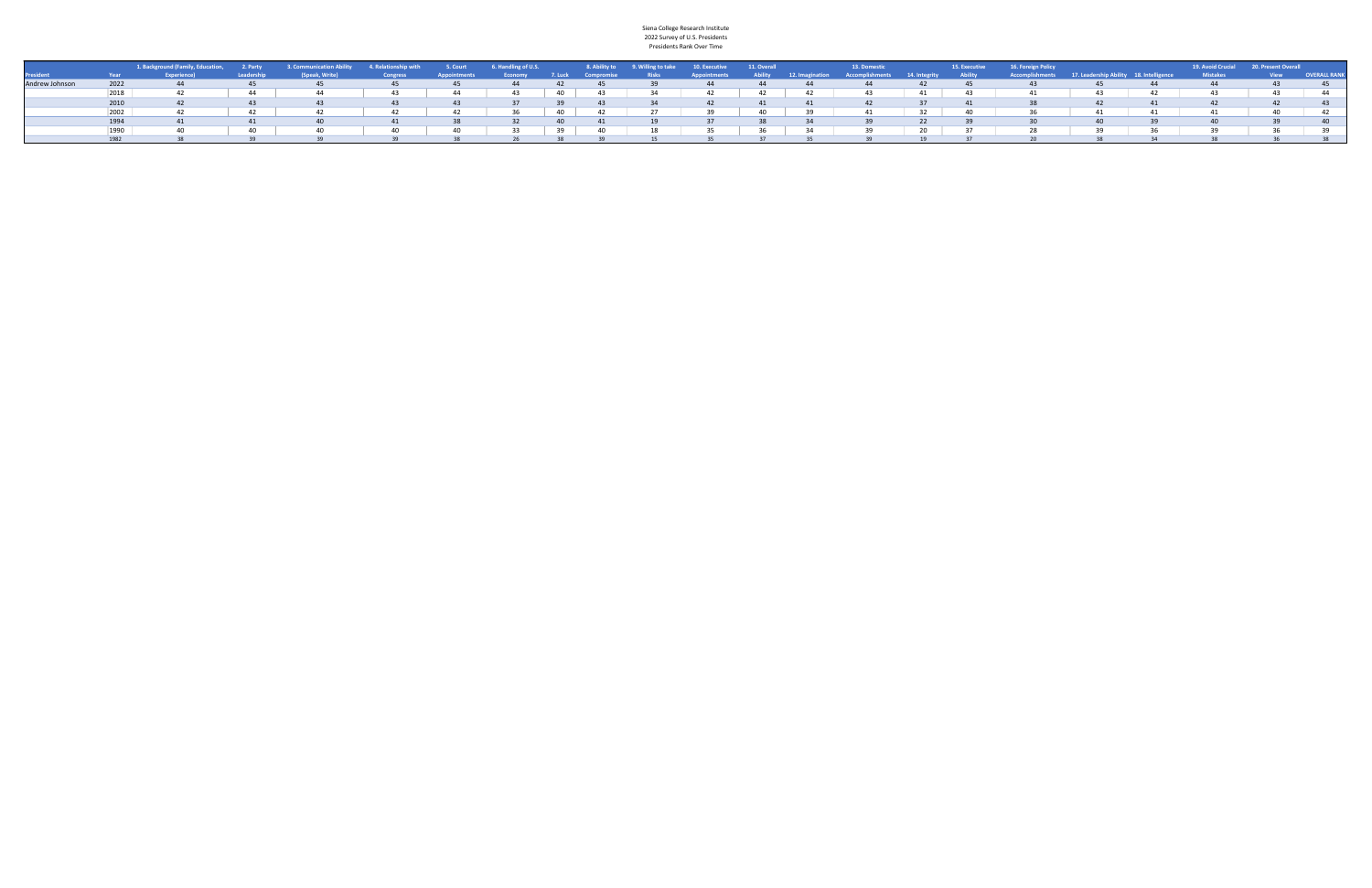|                  |      | 11. Dackground (Family, Education, 2. Party 3. Communication Ability 4. Relationship with 5. Court 6. Handling of U.S. 28. Ability to 9. Willing to take 10. Executive 11. Overall |      |     |                 |      |                                               |    |                 |    |              |    |       | <b>13. Domestic</b> |                         |      | 15. Executive 16. Foreign Policy                                                                                      |    |     |                 | 19. Avoid Crucial 20. Present Overall |                     |
|------------------|------|------------------------------------------------------------------------------------------------------------------------------------------------------------------------------------|------|-----|-----------------|------|-----------------------------------------------|----|-----------------|----|--------------|----|-------|---------------------|-------------------------|------|-----------------------------------------------------------------------------------------------------------------------|----|-----|-----------------|---------------------------------------|---------------------|
| <b>President</b> |      |                                                                                                                                                                                    |      |     | <b>Congress</b> |      | Appointments Economy 7. Luck Compromise Risks |    |                 |    | Appointments |    |       |                     |                         |      | Ability 12. Imagination Accomplishments 14. Integrity Ability Accomplishments 17. Leadership Ability 18. Intelligence |    |     | <b>Mistakes</b> | <b>Example 19 View</b>                | <b>OVERALL RANK</b> |
|                  | 2022 | 44                                                                                                                                                                                 |      |     |                 | - 45 | 44 7                                          |    | 42 45           |    | 39 44 44 5   |    | 44    | $\sim$ 44           | 42                      | -45  |                                                                                                                       |    | 44  | 44              | -43                                   |                     |
|                  |      |                                                                                                                                                                                    |      | 44  | 43              | 44   | 43                                            | 40 | 43              |    | 42           |    | 42 42 | 43                  | 41                      |      |                                                                                                                       | 43 | 42  | 43              | 43.                                   |                     |
|                  | 2010 |                                                                                                                                                                                    |      |     |                 |      |                                               |    |                 |    |              | 41 |       | 42                  |                         |      |                                                                                                                       |    | 41  |                 |                                       |                     |
|                  | 2002 |                                                                                                                                                                                    |      |     |                 |      | 36                                            | 40 | $\overline{42}$ |    | 39           |    | 40 39 | 41                  | $32 \quad \blacksquare$ | - 40 |                                                                                                                       | 41 | 41  |                 | 40                                    |                     |
|                  | 1994 |                                                                                                                                                                                    |      |     |                 |      |                                               |    |                 |    |              |    |       | 39                  | 22 <sup>2</sup>         |      |                                                                                                                       |    |     |                 |                                       |                     |
|                  |      | ⊿∩                                                                                                                                                                                 | 40 L | 40. |                 |      |                                               |    |                 | 18 |              |    |       | 39                  |                         |      |                                                                                                                       |    | 36. |                 |                                       |                     |
|                  | 1982 |                                                                                                                                                                                    |      |     |                 |      |                                               |    |                 |    |              |    |       |                     |                         |      |                                                                                                                       |    |     |                 |                                       |                     |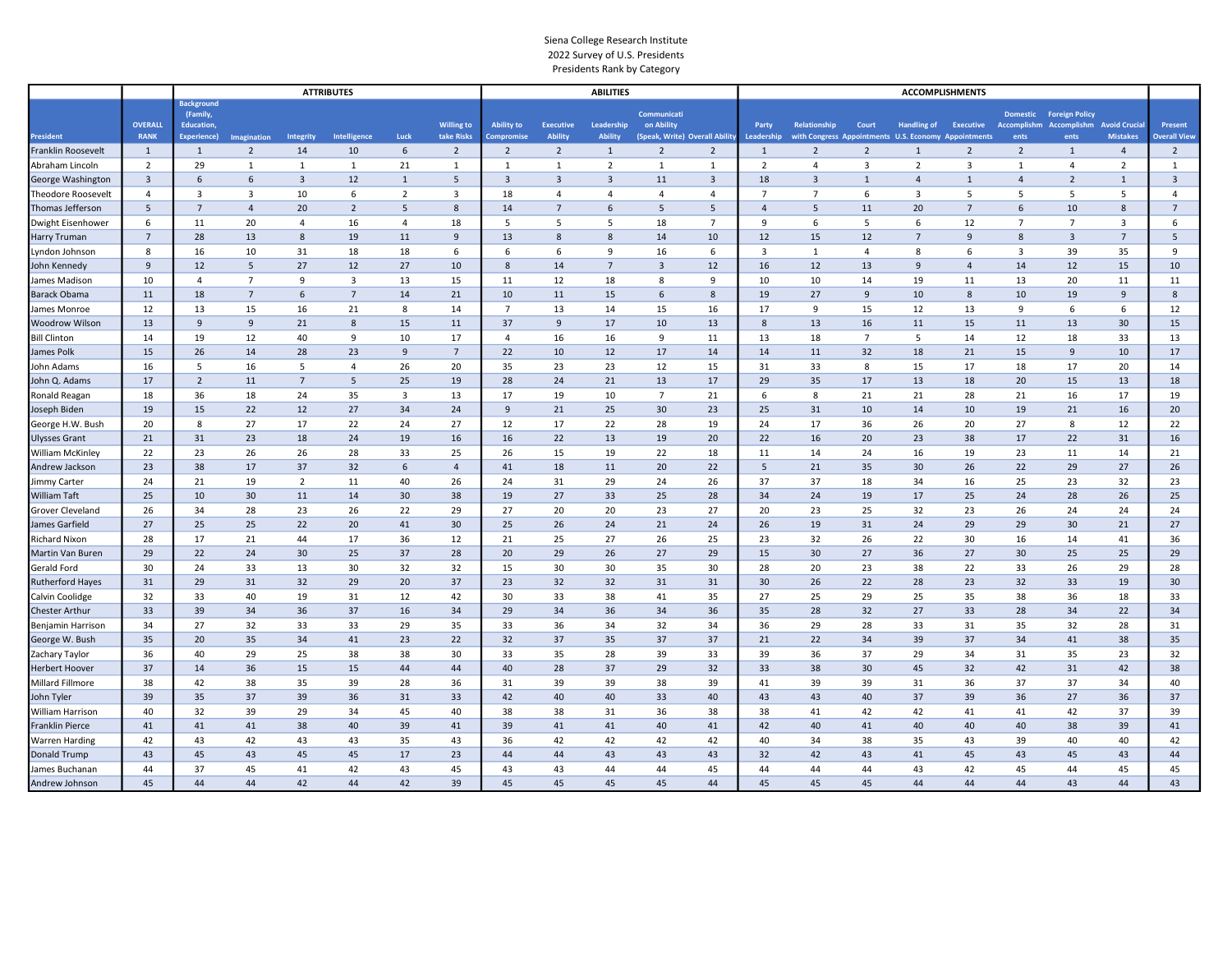|                                   |                |                                        |                |                  | <b>ATTRIBUTES</b> |                |                                 |                                 |                                    | <b>ABILITIES</b>             |                                              |                         |                     |                                                                      |                | <b>ACCOMPLISHMENTS</b>  |                  |                         |                                         |                         |                                |
|-----------------------------------|----------------|----------------------------------------|----------------|------------------|-------------------|----------------|---------------------------------|---------------------------------|------------------------------------|------------------------------|----------------------------------------------|-------------------------|---------------------|----------------------------------------------------------------------|----------------|-------------------------|------------------|-------------------------|-----------------------------------------|-------------------------|--------------------------------|
|                                   | <b>OVERALL</b> | <b>Background</b><br>(Family,          |                |                  |                   |                |                                 |                                 |                                    |                              | Communicati                                  |                         |                     |                                                                      |                |                         |                  |                         | <b>Domestic Foreign Policy</b>          |                         |                                |
| <b>President</b>                  | <b>RANK</b>    | <b>Education</b><br><b>Experience)</b> | Imagination    | <b>Integrity</b> | Intelligence      | Luck           | <b>Willing to</b><br>take Risks | <b>Ability to</b><br>Compromise | <b>Executive</b><br><b>Ability</b> | Leadership<br><b>Ability</b> | on Ability<br>(Speak, Write) Overall Ability |                         | Party<br>Leadership | Relationship<br>with Congress Appointments U.S. Economy Appointments | Court          | <b>Handling of</b>      | <b>Executive</b> | Accomplishm<br>ents     | <b>Accomplishm Avoid Crucia</b><br>ents | <b>Mistakes</b>         | Present<br><b>Overall View</b> |
| Franklin Roosevelt                | $\mathbf{1}$   | $\mathbf{1}$                           | $\overline{2}$ | 14               | 10                | 6              | $\overline{2}$                  | $\overline{2}$                  | $\overline{2}$                     | $\mathbf{1}$                 | $\overline{2}$                               | $\overline{2}$          | $\mathbf{1}$        | $\overline{2}$                                                       | $\overline{2}$ | $\overline{1}$          | $\overline{2}$   | $\overline{2}$          | $\mathbf{1}$                            | $\overline{4}$          | $\overline{2}$                 |
| Abraham Lincoln                   | $\overline{2}$ | 29                                     | 1              | 1                | 1                 | 21             | 1                               | 1                               | $\mathbf{1}$                       | $\overline{2}$               | 1                                            | $\mathbf{1}$            | $\overline{2}$      | $\overline{4}$                                                       | $\overline{3}$ | $\overline{2}$          | 3                | 1                       | $\overline{4}$                          | $\overline{2}$          | $\mathbf{1}$                   |
| George Washington                 | $\overline{3}$ | 6                                      | 6              | $\overline{3}$   | 12                | $\mathbf{1}$   | 5                               | $\overline{3}$                  | $\overline{3}$                     | $\overline{3}$               | 11                                           | $\overline{\mathbf{3}}$ | 18                  | $\overline{3}$                                                       | $\overline{1}$ | $\overline{4}$          | $\mathbf{1}$     | $\overline{4}$          | $\overline{2}$                          | $\mathbf{1}$            | $\overline{3}$                 |
| <b>Theodore Roosevelt</b>         | $\overline{4}$ | 3                                      | $\overline{3}$ | 10               | 6                 | $\overline{2}$ | 3                               | 18                              | $\overline{a}$                     | $\overline{4}$               | $\overline{4}$                               | $\overline{4}$          | $\overline{7}$      | $\overline{7}$                                                       | 6              | $\overline{\mathbf{3}}$ | 5                | .5                      | 5                                       | 5                       | $\overline{4}$                 |
| Thomas Jefferson                  | 5              | $\overline{7}$                         | $\overline{4}$ | 20               | $\overline{2}$    | 5              | 8                               | 14                              | $\overline{7}$                     | 6                            | 5                                            | 5                       | $\overline{4}$      | 5                                                                    | 11             | 20                      | $\overline{7}$   | 6                       | 10                                      | 8                       | $\overline{7}$                 |
| Dwight Eisenhower                 | 6              | 11                                     | 20             | $\overline{a}$   | 16                | $\overline{4}$ | 18                              | 5                               | -5                                 | 5                            | 18                                           | $\overline{7}$          | 9                   | 6                                                                    | 5              | 6                       | 12               | $\overline{7}$          | $\overline{7}$                          | $\overline{\mathbf{3}}$ | 6                              |
| <b>Harry Truman</b>               | $\overline{7}$ | 28                                     | 13             | 8                | 19                | 11             | 9                               | 13                              | $\mathbf{8}$                       | 8                            | 14                                           | 10                      | 12                  | 15                                                                   | 12             | $\overline{7}$          | 9                | 8                       | $\overline{3}$                          | $\overline{7}$          | 5                              |
| Lyndon Johnson                    | 8              | 16                                     | 10             | 31               | 18                | 18             | 6                               | 6                               | 6                                  | 9                            | 16                                           | -6                      | $\overline{3}$      | $\mathbf{1}$                                                         | $\overline{a}$ | 8                       | 6                | $\overline{\mathbf{3}}$ | 39                                      | 35                      | 9                              |
| John Kennedy                      | 9              | 12                                     | 5              | 27               | 12                | 27             | 10                              | 8                               | 14                                 | $\overline{7}$               | $\overline{3}$                               | 12                      | 16                  | 12                                                                   | 13             | 9                       | $\overline{4}$   | 14                      | 12                                      | 15                      | 10                             |
| James Madison                     | 10             | 4                                      | $\overline{7}$ | 9                | $\overline{3}$    | 13             | 15                              | 11                              | 12                                 | 18                           | 8                                            | 9                       | 10                  | 10                                                                   | 14             | 19                      | 11               | 13                      | 20                                      | 11                      | 11                             |
| <b>Barack Obama</b>               | 11             | 18                                     | $\overline{7}$ | 6                | $\overline{7}$    | 14             | 21                              | 10                              | 11                                 | 15                           | 6                                            | 8                       | 19                  | 27                                                                   | 9              | 10                      | 8                | 10                      | 19                                      | 9                       | $\bf 8$                        |
| James Monroe                      | 12             | 13                                     | 15             | 16               | 21                | 8              | 14                              | $\overline{7}$                  | 13                                 | 14                           | 15                                           | 16                      | 17                  | 9                                                                    | 15             | 12                      | 13               | 9                       | 6                                       | 6                       | 12                             |
| <b>Woodrow Wilson</b>             | 13             | 9                                      | 9              | 21               | 8                 | 15             | 11                              | 37                              | 9                                  | 17                           | 10                                           | 13                      | 8                   | 13                                                                   | 16             | 11                      | 15               | 11                      | 13                                      | 30                      | 15                             |
| <b>Bill Clinton</b>               | 14             | 19                                     | 12             | 40               | 9                 | 10             | 17                              | $\overline{4}$                  | 16                                 | 16                           | 9                                            | 11                      | 13                  | 18                                                                   | $\overline{7}$ | 5                       | 14               | 12                      | 18                                      | 33                      | 13                             |
| James Polk                        | 15             | 26                                     | 14             | 28               | 23                | 9              | $\overline{7}$                  | 22                              | 10                                 | 12                           | 17                                           | 14                      | 14                  | 11                                                                   | 32             | 18                      | 21               | 15                      | 9                                       | 10                      | 17                             |
| John Adams                        | 16             | 5                                      | 16             | 5                | $\overline{4}$    | 26             | 20                              | 35                              | 23                                 | 23                           | 12                                           | 15                      | 31                  | 33                                                                   | 8              | 15                      | 17               | 18                      | 17                                      | 20                      | 14                             |
| John Q. Adams                     | 17             | $\overline{2}$                         | 11             | $\overline{7}$   | 5                 | 25             | 19                              | 28                              | 24                                 | 21                           | 13                                           | 17                      | 29                  | 35                                                                   | 17             | 13                      | 18               | 20                      | 15                                      | 13                      | 18                             |
| Ronald Reagan                     | 18             | 36                                     | 18             | 24               | 35                | $\overline{3}$ | 13                              | 17                              | 19                                 | 10                           | $\overline{7}$                               | 21                      | 6                   | 8                                                                    | 21             | 21                      | 28               | 21                      | 16                                      | 17                      | 19                             |
| Joseph Biden                      | 19             | 15                                     | 22             | 12               | 27                | 34             | 24                              | 9                               | 21                                 | 25                           | 30                                           | 23                      | 25                  | 31                                                                   | 10             | 14                      | 10               | 19                      | 21                                      | 16                      | 20                             |
| George H.W. Bush                  | 20             | 8                                      | 27             | 17               | 22                | 24             | 27                              | 12                              | 17                                 | 22                           | 28                                           | 19                      | 24                  | 17                                                                   | 36             | 26                      | 20               | 27                      | 8                                       | 12                      | 22                             |
| <b>Ulysses Grant</b>              | 21             | 31                                     | 23             | 18               | 24                | 19             | 16                              | 16                              | 22                                 | 13                           | 19                                           | 20                      | 22                  | 16                                                                   | 20             | 23                      | 38               | 17                      | 22                                      | 31                      | 16                             |
| <b>William McKinley</b>           | 22             | 23                                     | 26             | 26               | 28                | 33             | 25                              | 26                              | 15                                 | 19                           | 22                                           | 18                      | 11                  | 14                                                                   | 24             | 16                      | 19               | 23                      | 11                                      | 14                      | 21                             |
| Andrew Jackson                    | 23             | 38                                     | 17             | 37               | 32                | 6              | $\overline{4}$                  | 41                              | 18                                 | 11                           | 20                                           | 22                      | 5                   | 21                                                                   | 35             | 30                      | 26               | 22                      | 29                                      | 27                      | 26                             |
| <b>Jimmy Carter</b>               | 24             | 21                                     | 19             | $\overline{2}$   | 11                | 40             | 26                              | 24                              | 31                                 | 29                           | 24                                           | 26                      | 37                  | 37                                                                   | 18             | 34                      | 16               | 25                      | 23                                      | 32                      | 23                             |
| <b>William Taft</b>               | 25<br>26       | 10                                     | 30<br>28       | 11<br>23         | 14<br>26          | 30<br>22       | 38<br>29                        | 19<br>27                        | 27                                 | 33<br>20                     | 25<br>23                                     | 28<br>27                | 34<br>20            | 24                                                                   | 19<br>25       | 17<br>32                | 25               | 24                      | 28<br>24                                | 26<br>24                | 25<br>24                       |
| Grover Cleveland                  | 27             | 34<br>25                               | 25             | 22               | 20                | 41             | 30                              | 25                              | 20<br>26                           | 24                           | 21                                           | 24                      | 26                  | 23<br>19                                                             | 31             | 24                      | 23<br>29         | 26<br>29                | 30                                      | 21                      | 27                             |
| James Garfield                    | 28             | 17                                     |                | 44               | 17                | 36             | 12                              | 21                              |                                    | 27                           | 26                                           | 25                      |                     | 32                                                                   |                | 22                      | 30               | 16                      | 14                                      |                         | 36                             |
| Richard Nixon<br>Martin Van Buren | 29             | 22                                     | 21<br>24       | 30               | 25                | 37             | 28                              | 20                              | 25<br>29                           | 26                           | 27                                           | 29                      | 23<br>15            | 30                                                                   | 26<br>27       | 36                      | 27               | 30                      | 25                                      | 41<br>25                | 29                             |
| Gerald Ford                       | 30             | 24                                     | 33             | 13               | 30                | 32             | 32                              | 15                              | 30                                 | 30                           | 35                                           | 30                      | 28                  | 20                                                                   | 23             | 38                      | 22               | 33                      | 26                                      | 29                      | 28                             |
| <b>Rutherford Hayes</b>           | 31             | 29                                     | 31             | 32               | 29                | 20             | 37                              | 23                              | 32                                 | 32                           | 31                                           | 31                      | 30                  | 26                                                                   | 22             | 28                      | 23               | 32                      | 33                                      | 19                      | 30 <sub>o</sub>                |
| Calvin Coolidge                   | 32             | 33                                     | 40             | 19               | 31                | 12             | 42                              | 30                              | 33                                 | 38                           | 41                                           | 35                      | 27                  | 25                                                                   | 29             | 25                      | 35               | 38                      | 36                                      | 18                      | 33                             |
| Chester Arthur                    | 33             | 39                                     | 34             | 36               | 37                | 16             | 34                              | 29                              | 34                                 | 36                           | 34                                           | 36                      | 35                  | 28                                                                   | 32             | 27                      | 33               | 28                      | 34                                      | 22                      | 34                             |
| Benjamin Harrison                 | 34             | 27                                     | 32             | 33               | 33                | 29             | 35                              | 33                              | 36                                 | 34                           | 32                                           | 34                      | 36                  | 29                                                                   | 28             | 33                      | 31               | 35                      | 32                                      | 28                      | 31                             |
| George W. Bush                    | 35             | 20                                     | 35             | 34               | 41                | 23             | 22                              | 32                              | 37                                 | 35                           | 37                                           | 37                      | 21                  | 22                                                                   | 34             | 39                      | 37               | 34                      | 41                                      | 38                      | 35                             |
| Zachary Taylor                    | 36             | 40                                     | 29             | 25               | 38                | 38             | 30                              | 33                              | 35                                 | 28                           | 39                                           | 33                      | 39                  | 36                                                                   | 37             | 29                      | 34               | 31                      | 35                                      | 23                      | 32                             |
| <b>Herbert Hoover</b>             | 37             | 14                                     | 36             | 15               | 15                | 44             | 44                              | 40                              | 28                                 | 37                           | 29                                           | 32                      | 33                  | 38                                                                   | 30             | 45                      | 32               | 42                      | 31                                      | 42                      | 38                             |
| Millard Fillmore                  | 38             | 42                                     | 38             | 35               | 39                | 28             | 36                              | 31                              | 39                                 | 39                           | 38                                           | 39                      | 41                  | 39                                                                   | 39             | 31                      | 36               | 37                      | 37                                      | 34                      | 40                             |
| John Tyler                        | 39             | 35                                     | 37             | 39               | 36                | 31             | 33                              | 42                              | 40                                 | 40                           | 33                                           | 40                      | 43                  | 43                                                                   | 40             | 37                      | 39               | 36                      | 27                                      | 36                      | 37                             |
| <b>William Harrison</b>           | 40             | 32                                     | 39             | 29               | 34                | 45             | 40                              | 38                              | 38                                 | 31                           | 36                                           | 38                      | 38                  | 41                                                                   | 42             | 42                      | 41               | 41                      | 42                                      | 37                      | 39                             |
| <b>Franklin Pierce</b>            | 41             | 41                                     | 41             | 38               | 40                | 39             | 41                              | 39                              | 41                                 | 41                           | 40                                           | 41                      | 42                  | 40                                                                   | 41             | 40                      | 40               | 40                      | 38                                      | 39                      | 41                             |
| <b>Warren Harding</b>             | 42             | 43                                     | 42             | 43               | 43                | 35             | 43                              | 36                              | 42                                 | 42                           | 42                                           | 42                      | 40                  | 34                                                                   | 38             | 35                      | 43               | 39                      | 40                                      | 40                      | 42                             |
| Donald Trump                      | 43             | 45                                     | 43             | 45               | 45                | 17             | 23                              | 44                              | 44                                 | 43                           | 43                                           | 43                      | 32                  | 42                                                                   | 43             | 41                      | 45               | 43                      | 45                                      | 43                      | 44                             |
| James Buchanan                    | 44             | 37                                     | 45             | 41               | 42                | 43             | 45                              | 43                              | 43                                 | 44                           | 44                                           | 45                      | 44                  | 44                                                                   | 44             | 43                      | 42               | 45                      | 44                                      | 45                      | 45                             |
| Andrew Johnson                    | 45             | 44                                     | 44             | 42               | 44                | 42             | 39                              | 45                              | 45                                 | 45                           | 45                                           | 44                      | 45                  | 45                                                                   | 45             | 44                      | 44               | 44                      | 43                                      | 44                      | 43                             |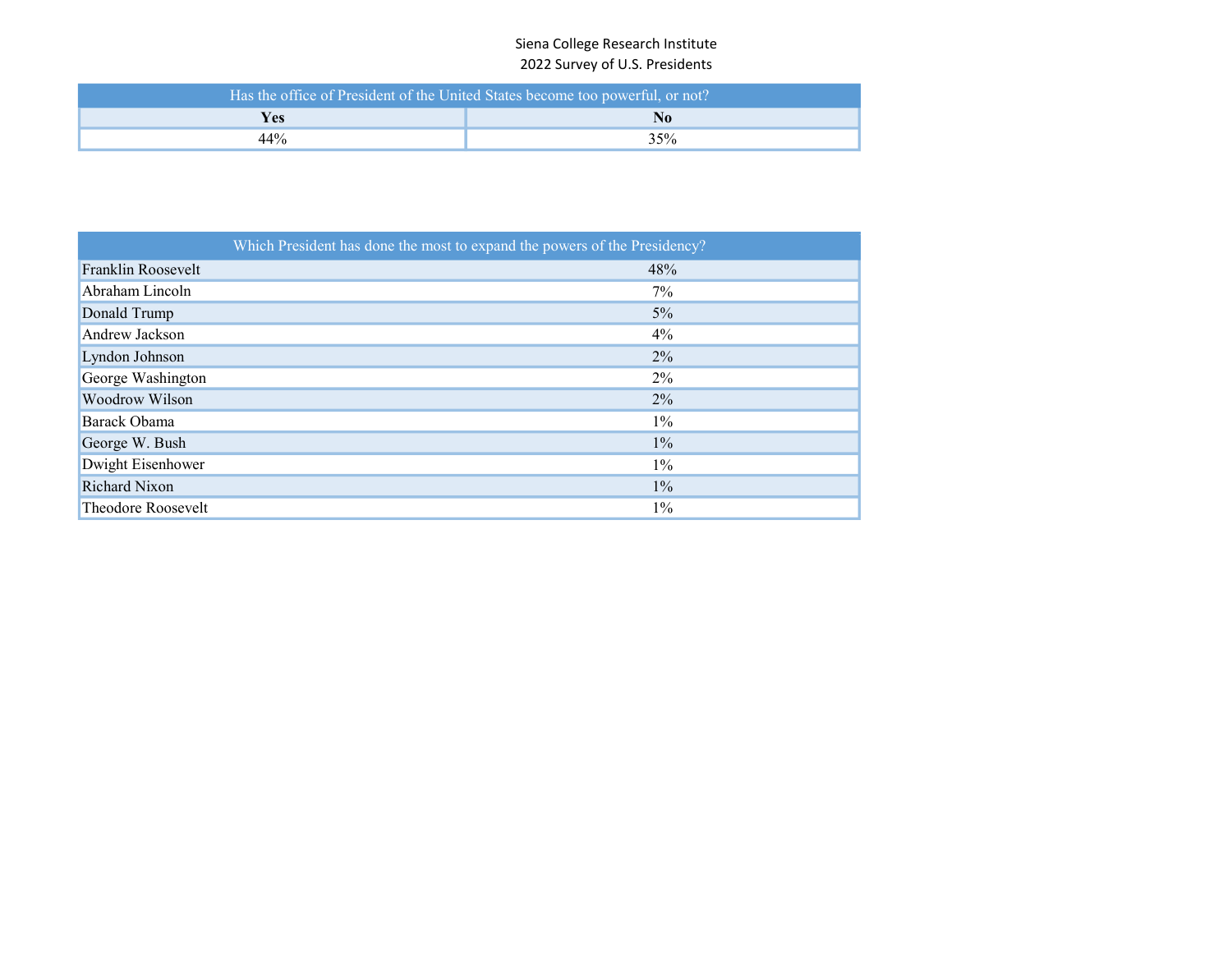# Siena College Research Institute 2022 Survey of U.S. Presidents

|                 | Has the office of President of the United States become too powerful, or not? |  |  |  |  |  |  |  |  |  |
|-----------------|-------------------------------------------------------------------------------|--|--|--|--|--|--|--|--|--|
| Yes<br>$\bf No$ |                                                                               |  |  |  |  |  |  |  |  |  |
| 44%             | 35%                                                                           |  |  |  |  |  |  |  |  |  |

|                    | Which President has done the most to expand the powers of the Presidency? |
|--------------------|---------------------------------------------------------------------------|
| Franklin Roosevelt | 48%                                                                       |
| Abraham Lincoln    | $7\%$                                                                     |
| Donald Trump       | 5%                                                                        |
| Andrew Jackson     | $4\%$                                                                     |
| Lyndon Johnson     | $2\%$                                                                     |
| George Washington  | $2\%$                                                                     |
| Woodrow Wilson     | $2\%$                                                                     |
| Barack Obama       | $1\%$                                                                     |
| George W. Bush     | $1\%$                                                                     |
| Dwight Eisenhower  | $1\%$                                                                     |
| Richard Nixon      | $1\%$                                                                     |
| Theodore Roosevelt | $1\%$                                                                     |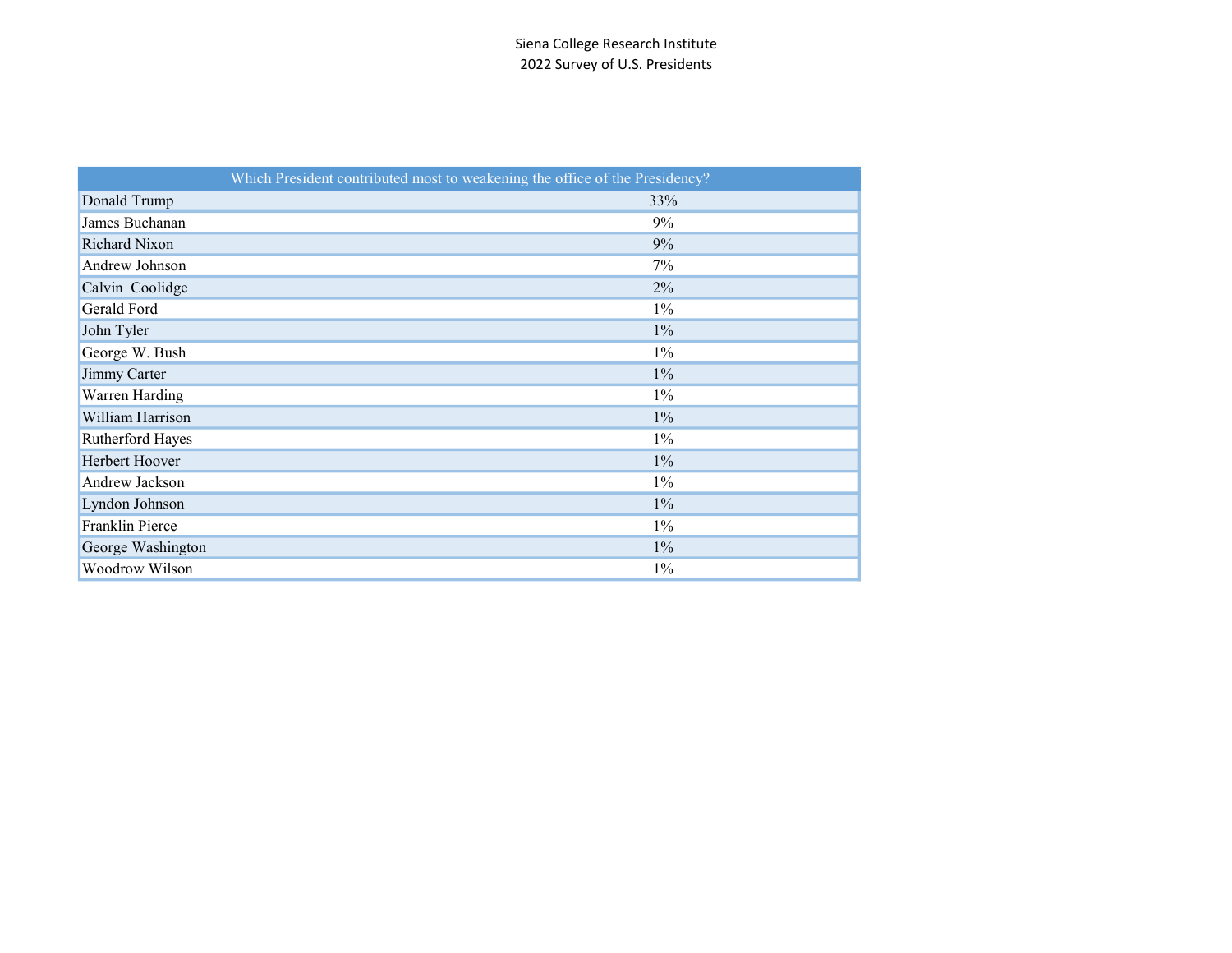|                   | Which President contributed most to weakening the office of the Presidency? |
|-------------------|-----------------------------------------------------------------------------|
| Donald Trump      | 33%                                                                         |
| James Buchanan    | 9%                                                                          |
| Richard Nixon     | 9%                                                                          |
| Andrew Johnson    | 7%                                                                          |
| Calvin Coolidge   | 2%                                                                          |
| Gerald Ford       | $1\%$                                                                       |
| John Tyler        | $1\%$                                                                       |
| George W. Bush    | $1\%$                                                                       |
| Jimmy Carter      | $1\%$                                                                       |
| Warren Harding    | $1\%$                                                                       |
| William Harrison  | $1\%$                                                                       |
| Rutherford Hayes  | $1\%$                                                                       |
| Herbert Hoover    | $1\%$                                                                       |
| Andrew Jackson    | $1\%$                                                                       |
| Lyndon Johnson    | $1\%$                                                                       |
| Franklin Pierce   | $1\%$                                                                       |
| George Washington | $1\%$                                                                       |
| Woodrow Wilson    | $1\%$                                                                       |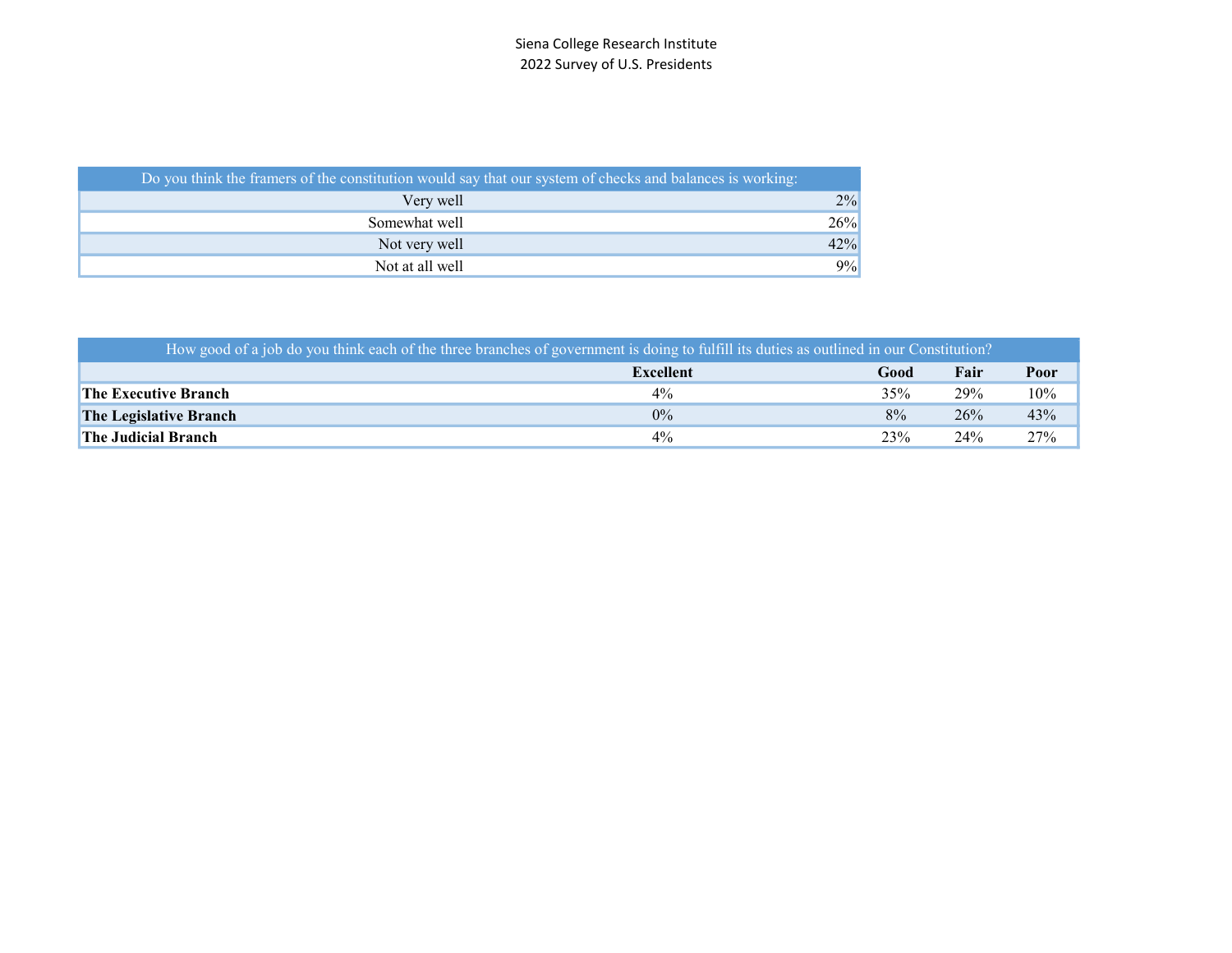| Do you think the framers of the constitution would say that our system of checks and balances is working: |     |
|-----------------------------------------------------------------------------------------------------------|-----|
| Very well                                                                                                 | 2%  |
| Somewhat well                                                                                             | 26% |
| Not very well                                                                                             | 42% |
| Not at all well                                                                                           | 9%  |

| How good of a job do you think each of the three branches of government is doing to fulfill its duties as outlined in our Constitution? |           |      |      |      |
|-----------------------------------------------------------------------------------------------------------------------------------------|-----------|------|------|------|
|                                                                                                                                         | Excellent | Good | Fair | Poor |
| <b>The Executive Branch</b>                                                                                                             | $4\%$     | 35%  | 29%  | 10%  |
| <b>The Legislative Branch</b>                                                                                                           | $0\%$     | 8%   | 26%  | 43%  |
| <b>The Judicial Branch</b>                                                                                                              | $4\%$     | 23%  | 24%  | 27%  |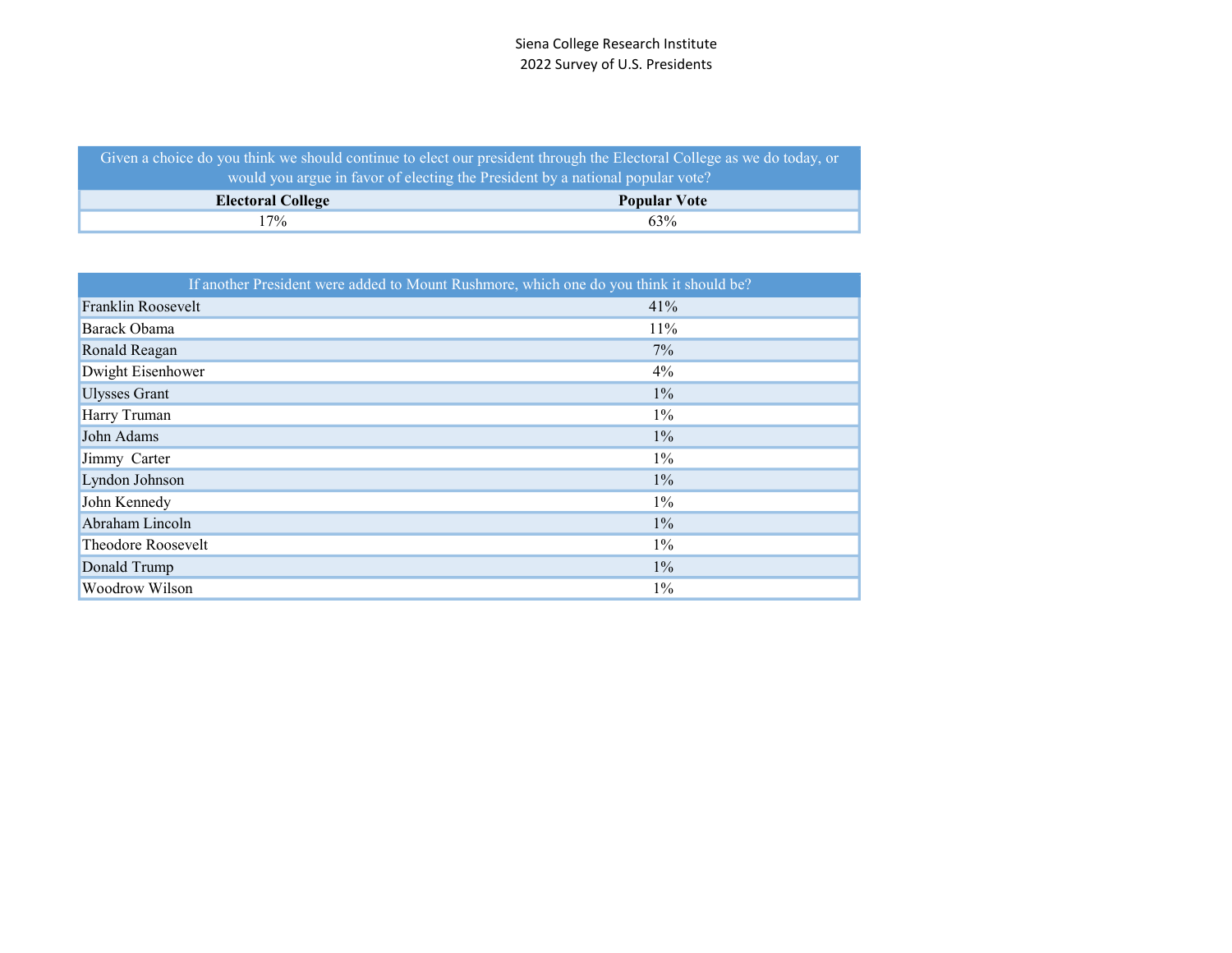| Given a choice do you think we should continue to elect our president through the Electoral College as we do today, or |                     |  |  |  |  |  |  |
|------------------------------------------------------------------------------------------------------------------------|---------------------|--|--|--|--|--|--|
| would you argue in favor of electing the President by a national popular vote?                                         |                     |  |  |  |  |  |  |
| <b>Electoral College</b>                                                                                               | <b>Popular Vote</b> |  |  |  |  |  |  |
| 17%                                                                                                                    | 63%                 |  |  |  |  |  |  |

|                      | If another President were added to Mount Rushmore, which one do you think it should be? |
|----------------------|-----------------------------------------------------------------------------------------|
| Franklin Roosevelt   | 41%                                                                                     |
| Barack Obama         | 11%                                                                                     |
| Ronald Reagan        | $7\%$                                                                                   |
| Dwight Eisenhower    | $4\%$                                                                                   |
| <b>Ulysses Grant</b> | $1\%$                                                                                   |
| Harry Truman         | $1\%$                                                                                   |
| John Adams           | $1\%$                                                                                   |
| Jimmy Carter         | $1\%$                                                                                   |
| Lyndon Johnson       | $1\%$                                                                                   |
| John Kennedy         | $1\%$                                                                                   |
| Abraham Lincoln      | $1\%$                                                                                   |
| Theodore Roosevelt   | $1\%$                                                                                   |
| Donald Trump         | $1\%$                                                                                   |
| Woodrow Wilson       | $1\%$                                                                                   |